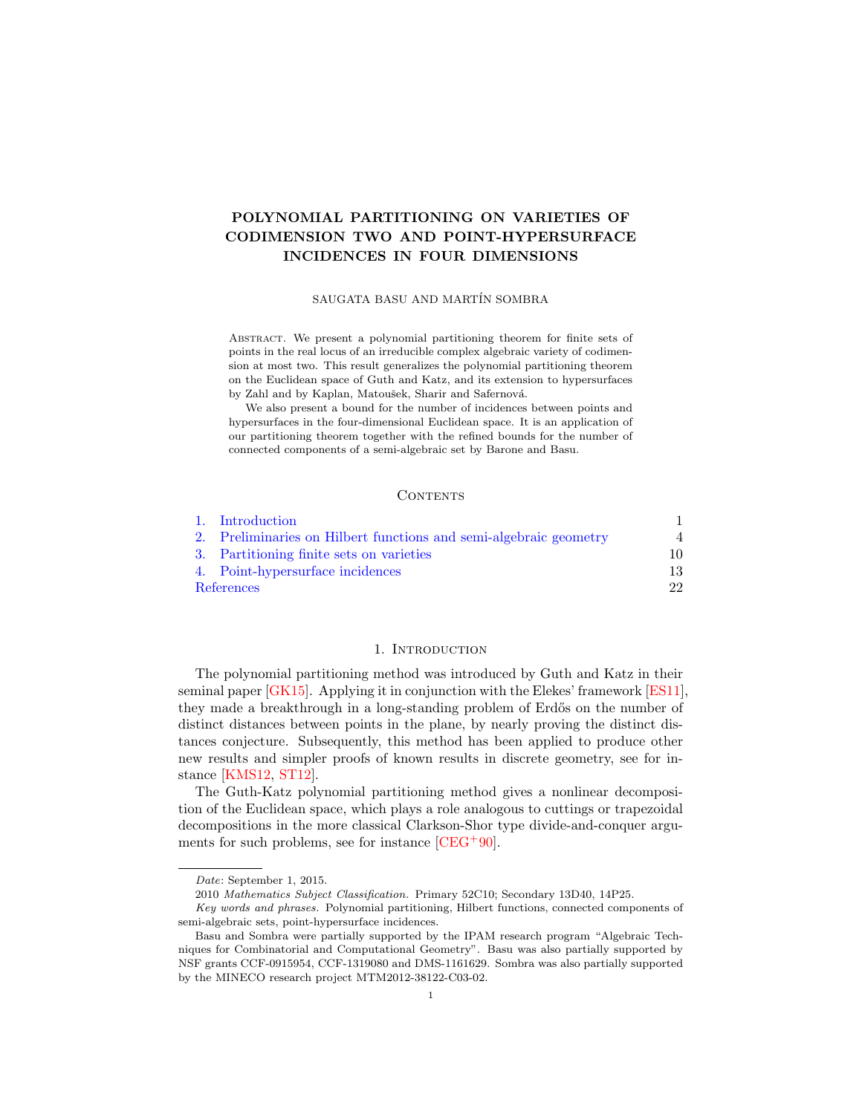# <span id="page-0-1"></span>POLYNOMIAL PARTITIONING ON VARIETIES OF CODIMENSION TWO AND POINT-HYPERSURFACE INCIDENCES IN FOUR DIMENSIONS

## SAUGATA BASU AND MARTÍN SOMBRA

Abstract. We present a polynomial partitioning theorem for finite sets of points in the real locus of an irreducible complex algebraic variety of codimension at most two. This result generalizes the polynomial partitioning theorem on the Euclidean space of Guth and Katz, and its extension to hypersurfaces by Zahl and by Kaplan, Matoušek, Sharir and Safernová.

We also present a bound for the number of incidences between points and hypersurfaces in the four-dimensional Euclidean space. It is an application of our partitioning theorem together with the refined bounds for the number of connected components of a semi-algebraic set by Barone and Basu.

### **CONTENTS**

|            | 1. Introduction                                                   |                |
|------------|-------------------------------------------------------------------|----------------|
|            | 2. Preliminaries on Hilbert functions and semi-algebraic geometry | $\overline{4}$ |
|            | 3. Partitioning finite sets on varieties                          | 10             |
|            | 4. Point-hypersurface incidences                                  | 13             |
| References |                                                                   | 22             |

## 1. Introduction

<span id="page-0-0"></span>The polynomial partitioning method was introduced by Guth and Katz in their seminal paper [\[GK15\]](#page-21-1). Applying it in conjunction with the Elekes' framework [\[ES11\]](#page-21-2), they made a breakthrough in a long-standing problem of Erdős on the number of distinct distances between points in the plane, by nearly proving the distinct distances conjecture. Subsequently, this method has been applied to produce other new results and simpler proofs of known results in discrete geometry, see for instance [\[KMS12,](#page-21-3) [ST12\]](#page-22-0).

The Guth-Katz polynomial partitioning method gives a nonlinear decomposition of the Euclidean space, which plays a role analogous to cuttings or trapezoidal decompositions in the more classical Clarkson-Shor type divide-and-conquer arguments for such problems, see for instance  $[CEG^{+}90]$  $[CEG^{+}90]$ .

Date: September 1, 2015.

<sup>2010</sup> Mathematics Subject Classification. Primary 52C10; Secondary 13D40, 14P25.

Key words and phrases. Polynomial partitioning, Hilbert functions, connected components of semi-algebraic sets, point-hypersurface incidences.

Basu and Sombra were partially supported by the IPAM research program "Algebraic Techniques for Combinatorial and Computational Geometry". Basu was also partially supported by NSF grants CCF-0915954, CCF-1319080 and DMS-1161629. Sombra was also partially supported by the MINECO research project MTM2012-38122-C03-02.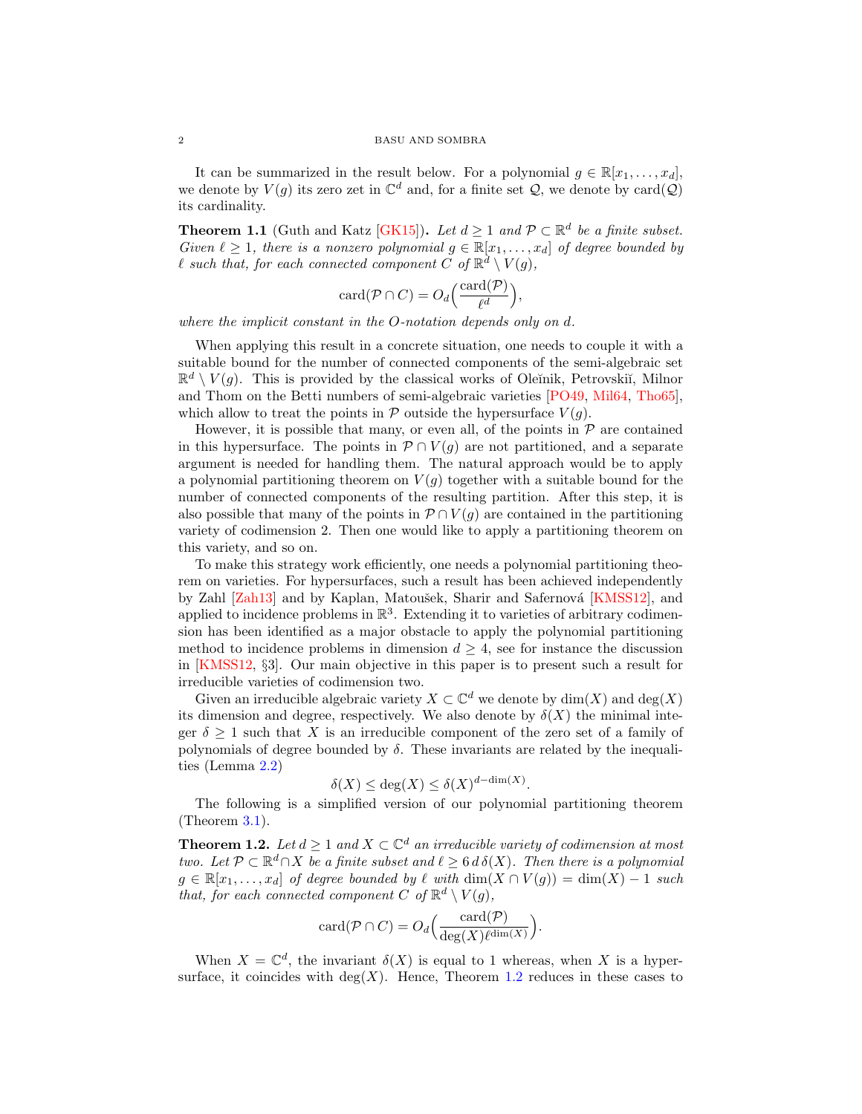<span id="page-1-2"></span>It can be summarized in the result below. For a polynomial  $g \in \mathbb{R}[x_1, \ldots, x_d]$ , we denote by  $V(g)$  its zero zet in  $\mathbb{C}^d$  and, for a finite set  $\mathcal{Q}$ , we denote by card $(\mathcal{Q})$ its cardinality.

<span id="page-1-1"></span>**Theorem 1.1** (Guth and Katz [\[GK15\]](#page-21-1)). Let  $d \geq 1$  and  $\mathcal{P} \subset \mathbb{R}^d$  be a finite subset. Given  $\ell \geq 1$ , there is a nonzero polynomial  $g \in \mathbb{R}[x_1, \ldots, x_d]$  of degree bounded by  $\ell$  such that, for each connected component  $\tilde{C}$  of  $\mathbb{R}^d \setminus V(g)$ ,

$$
card(\mathcal{P} \cap C) = O_d\left(\frac{card(\mathcal{P})}{\ell^d}\right),\,
$$

where the implicit constant in the O-notation depends only on d.

When applying this result in a concrete situation, one needs to couple it with a suitable bound for the number of connected components of the semi-algebraic set  $\mathbb{R}^d \setminus V(g)$ . This is provided by the classical works of Oleĭnik, Petrovskiĭ, Milnor and Thom on the Betti numbers of semi-algebraic varieties [\[PO49,](#page-21-5) [Mil64,](#page-21-6) [Tho65\]](#page-22-1), which allow to treat the points in  $P$  outside the hypersurface  $V(q)$ .

However, it is possible that many, or even all, of the points in  $\mathcal P$  are contained in this hypersurface. The points in  $\mathcal{P} \cap V(g)$  are not partitioned, and a separate argument is needed for handling them. The natural approach would be to apply a polynomial partitioning theorem on  $V(g)$  together with a suitable bound for the number of connected components of the resulting partition. After this step, it is also possible that many of the points in  $\mathcal{P} \cap V(g)$  are contained in the partitioning variety of codimension 2. Then one would like to apply a partitioning theorem on this variety, and so on.

To make this strategy work efficiently, one needs a polynomial partitioning theorem on varieties. For hypersurfaces, such a result has been achieved independently by Zahl [\[Zah13\]](#page-22-2) and by Kaplan, Matoušek, Sharir and Safernová [\[KMSS12\]](#page-21-7), and applied to incidence problems in  $\mathbb{R}^3$ . Extending it to varieties of arbitrary codimension has been identified as a major obstacle to apply the polynomial partitioning method to incidence problems in dimension  $d \geq 4$ , see for instance the discussion in [\[KMSS12,](#page-21-7) §3]. Our main objective in this paper is to present such a result for irreducible varieties of codimension two.

Given an irreducible algebraic variety  $X \subset \mathbb{C}^d$  we denote by  $\dim(X)$  and  $\deg(X)$ its dimension and degree, respectively. We also denote by  $\delta(X)$  the minimal integer  $\delta \geq 1$  such that X is an irreducible component of the zero set of a family of polynomials of degree bounded by  $\delta$ . These invariants are related by the inequalities (Lemma [2.2\)](#page-4-0)

$$
\delta(X) \le \deg(X) \le \delta(X)^{d-\dim(X)}.
$$

The following is a simplified version of our polynomial partitioning theorem (Theorem [3.1\)](#page-10-0).

<span id="page-1-0"></span>**Theorem 1.2.** Let  $d \geq 1$  and  $X \subset \mathbb{C}^d$  an irreducible variety of codimension at most two. Let  $\mathcal{P} \subset \mathbb{R}^d \cap X$  be a finite subset and  $\ell \geq 6$  d  $\delta(X)$ . Then there is a polynomial  $g \in \mathbb{R}[x_1, \ldots, x_d]$  of degree bounded by  $\ell$  with  $\dim(X \cap V(g)) = \dim(X) - 1$  such that, for each connected component C of  $\mathbb{R}^d \setminus V(g)$ ,

$$
card(\mathcal{P} \cap C) = O_d\Big(\frac{card(\mathcal{P})}{deg(X)\ell^{dim(X)}}\Big).
$$

When  $X = \mathbb{C}^d$ , the invariant  $\delta(X)$  is equal to 1 whereas, when X is a hypersurface, it coincides with  $\deg(X)$ . Hence, Theorem [1.2](#page-1-0) reduces in these cases to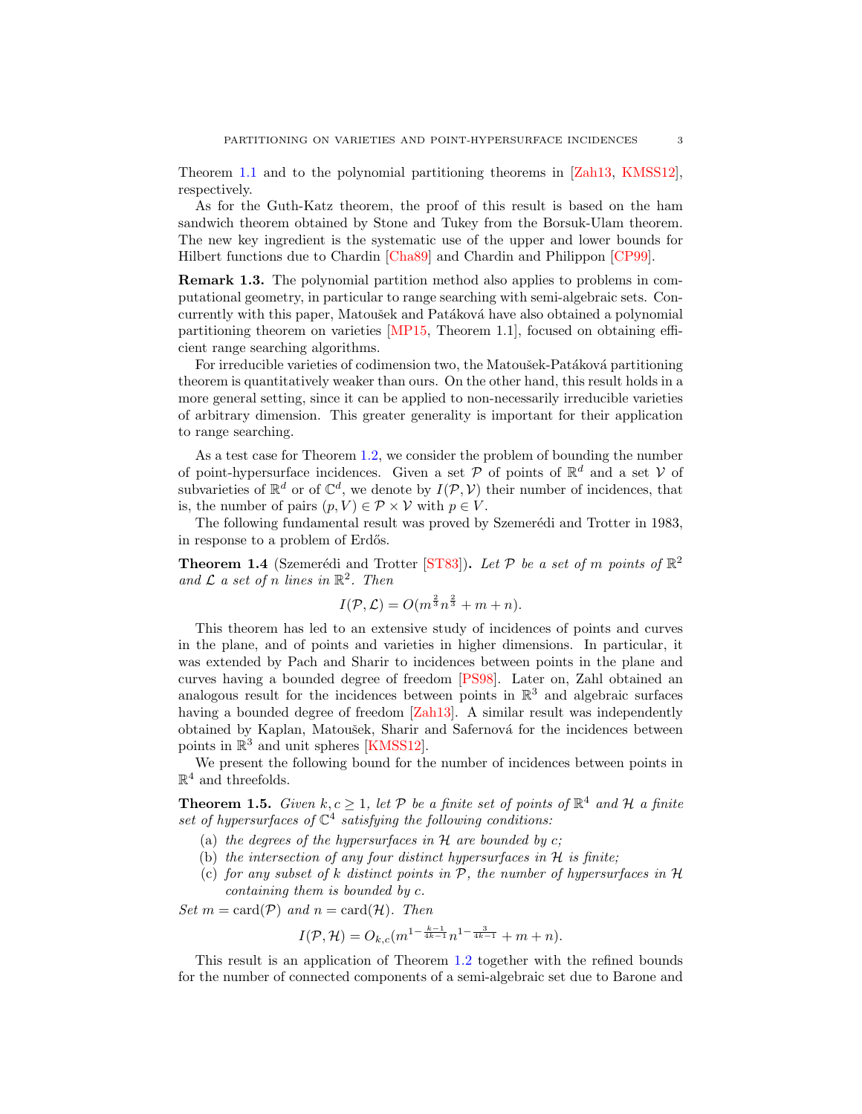<span id="page-2-4"></span>Theorem [1.1](#page-1-1) and to the polynomial partitioning theorems in [\[Zah13,](#page-22-2) [KMSS12\]](#page-21-7), respectively.

As for the Guth-Katz theorem, the proof of this result is based on the ham sandwich theorem obtained by Stone and Tukey from the Borsuk-Ulam theorem. The new key ingredient is the systematic use of the upper and lower bounds for Hilbert functions due to Chardin [\[Cha89\]](#page-21-8) and Chardin and Philippon [\[CP99\]](#page-21-9).

Remark 1.3. The polynomial partition method also applies to problems in computational geometry, in particular to range searching with semi-algebraic sets. Concurrently with this paper, Matoušek and Patáková have also obtained a polynomial partitioning theorem on varieties [\[MP15,](#page-21-10) Theorem 1.1], focused on obtaining efficient range searching algorithms.

For irreducible varieties of codimension two, the Matoušek-Patáková partitioning theorem is quantitatively weaker than ours. On the other hand, this result holds in a more general setting, since it can be applied to non-necessarily irreducible varieties of arbitrary dimension. This greater generality is important for their application to range searching.

As a test case for Theorem [1.2,](#page-1-0) we consider the problem of bounding the number of point-hypersurface incidences. Given a set  $P$  of points of  $\mathbb{R}^d$  and a set V of subvarieties of  $\mathbb{R}^d$  or of  $\mathbb{C}^d$ , we denote by  $I(\mathcal{P}, V)$  their number of incidences, that is, the number of pairs  $(p, V) \in \mathcal{P} \times \mathcal{V}$  with  $p \in V$ .

The following fundamental result was proved by Szemerédi and Trotter in 1983, in response to a problem of Erdős.

<span id="page-2-3"></span>**Theorem 1.4** (Szemerédi and Trotter [\[ST83\]](#page-22-3)). Let  $P$  be a set of m points of  $\mathbb{R}^2$ and  $\mathcal L$  a set of n lines in  $\mathbb R^2$ . Then

$$
I(\mathcal{P}, \mathcal{L}) = O(m^{\frac{2}{3}}n^{\frac{2}{3}} + m + n).
$$

This theorem has led to an extensive study of incidences of points and curves in the plane, and of points and varieties in higher dimensions. In particular, it was extended by Pach and Sharir to incidences between points in the plane and curves having a bounded degree of freedom [\[PS98\]](#page-21-11). Later on, Zahl obtained an analogous result for the incidences between points in  $\mathbb{R}^3$  and algebraic surfaces having a bounded degree of freedom [\[Zah13\]](#page-22-2). A similar result was independently obtained by Kaplan, Matoušek, Sharir and Safernová for the incidences between points in  $\mathbb{R}^3$  and unit spheres [\[KMSS12\]](#page-21-7).

We present the following bound for the number of incidences between points in  $\mathbb{R}^4$  and threefolds.

<span id="page-2-0"></span>**Theorem 1.5.** Given  $k, c \geq 1$ , let P be a finite set of points of  $\mathbb{R}^4$  and H a finite set of hypersurfaces of  $\mathbb{C}^4$  satisfying the following conditions:

- (a) the degrees of the hypersurfaces in  $H$  are bounded by  $c$ ;
- <span id="page-2-2"></span>(b) the intersection of any four distinct hypersurfaces in  $H$  is finite;
- <span id="page-2-1"></span>(c) for any subset of k distinct points in  $P$ , the number of hypersurfaces in  $H$ containing them is bounded by c.

Set  $m = \text{card}(\mathcal{P})$  and  $n = \text{card}(\mathcal{H})$ . Then

$$
I(\mathcal{P}, \mathcal{H}) = O_{k,c}(m^{1-\frac{k-1}{4k-1}}n^{1-\frac{3}{4k-1}} + m + n).
$$

This result is an application of Theorem [1.2](#page-1-0) together with the refined bounds for the number of connected components of a semi-algebraic set due to Barone and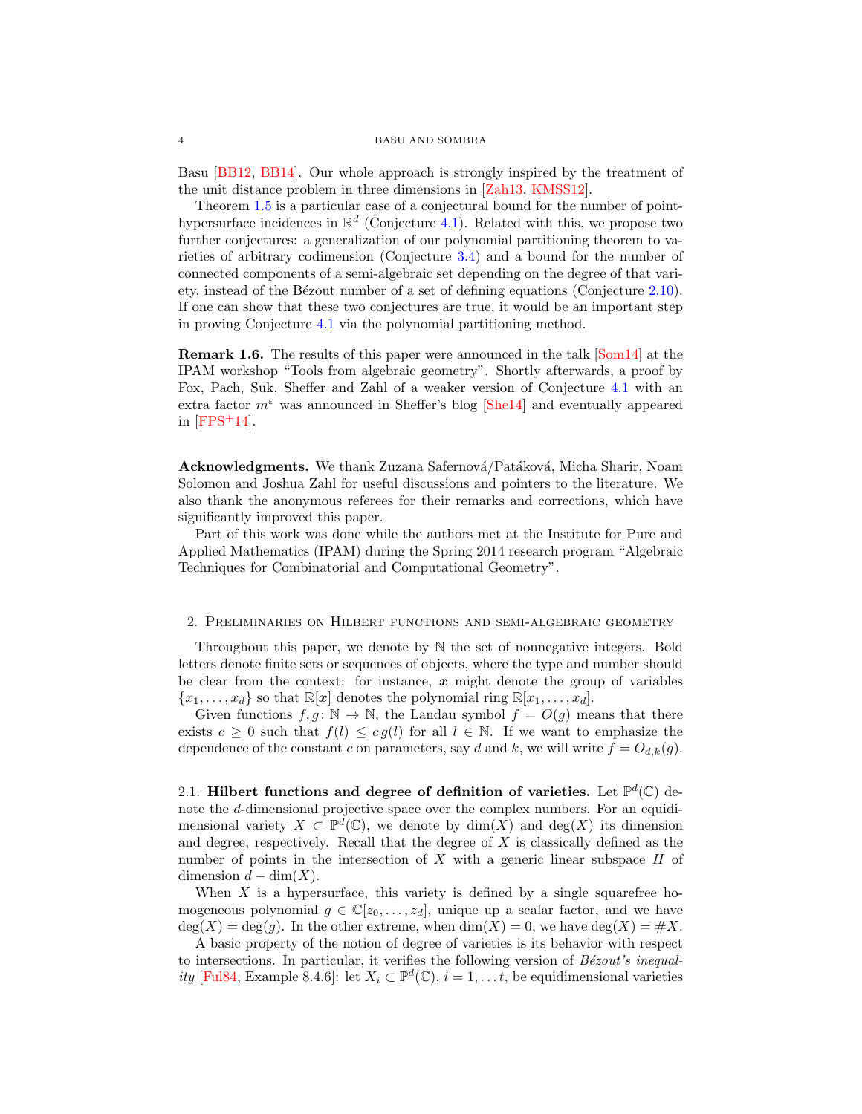<span id="page-3-1"></span>Basu [\[BB12,](#page-21-12) [BB14\]](#page-21-13). Our whole approach is strongly inspired by the treatment of the unit distance problem in three dimensions in [\[Zah13,](#page-22-2) [KMSS12\]](#page-21-7).

Theorem [1.5](#page-2-0) is a particular case of a conjectural bound for the number of pointhypersurface incidences in  $\mathbb{R}^d$  (Conjecture [4.1\)](#page-20-0). Related with this, we propose two further conjectures: a generalization of our polynomial partitioning theorem to varieties of arbitrary codimension (Conjecture [3.4\)](#page-12-1) and a bound for the number of connected components of a semi-algebraic set depending on the degree of that vari-ety, instead of the Bézout number of a set of defining equations (Conjecture [2.10\)](#page-9-1). If one can show that these two conjectures are true, it would be an important step in proving Conjecture [4.1](#page-20-0) via the polynomial partitioning method.

Remark 1.6. The results of this paper were announced in the talk [\[Som14\]](#page-22-4) at the IPAM workshop "Tools from algebraic geometry". Shortly afterwards, a proof by Fox, Pach, Suk, Sheffer and Zahl of a weaker version of Conjecture [4.1](#page-20-0) with an extra factor  $m^{\epsilon}$  was announced in Sheffer's blog [\[She14\]](#page-22-5) and eventually appeared in  $[{\rm FPS^+14}]$ .

Acknowledgments. We thank Zuzana Safernová/Patáková, Micha Sharir, Noam Solomon and Joshua Zahl for useful discussions and pointers to the literature. We also thank the anonymous referees for their remarks and corrections, which have significantly improved this paper.

Part of this work was done while the authors met at the Institute for Pure and Applied Mathematics (IPAM) during the Spring 2014 research program "Algebraic Techniques for Combinatorial and Computational Geometry".

### <span id="page-3-0"></span>2. Preliminaries on Hilbert functions and semi-algebraic geometry

Throughout this paper, we denote by N the set of nonnegative integers. Bold letters denote finite sets or sequences of objects, where the type and number should be clear from the context: for instance,  $x$  might denote the group of variables  ${x_1, \ldots, x_d}$  so that  $\mathbb{R}[x]$  denotes the polynomial ring  $\mathbb{R}[x_1, \ldots, x_d]$ .

Given functions  $f, g: \mathbb{N} \to \mathbb{N}$ , the Landau symbol  $f = O(g)$  means that there exists  $c \geq 0$  such that  $f(l) \leq cg(l)$  for all  $l \in \mathbb{N}$ . If we want to emphasize the dependence of the constant c on parameters, say d and k, we will write  $f = O_{d,k}(g)$ .

2.1. Hilbert functions and degree of definition of varieties. Let  $\mathbb{P}^d(\mathbb{C})$  denote the d-dimensional projective space over the complex numbers. For an equidimensional variety  $X \subset \mathbb{P}^d(\mathbb{C})$ , we denote by  $\dim(X)$  and  $\deg(X)$  its dimension and degree, respectively. Recall that the degree of X is classically defined as the number of points in the intersection of  $X$  with a generic linear subspace  $H$  of dimension  $d - \dim(X)$ .

When  $X$  is a hypersurface, this variety is defined by a single squarefree homogeneous polynomial  $g \in \mathbb{C}[z_0, \ldots, z_d]$ , unique up a scalar factor, and we have  $deg(X) = deg(g)$ . In the other extreme, when  $dim(X) = 0$ , we have  $deg(X) = \#X$ .

A basic property of the notion of degree of varieties is its behavior with respect to intersections. In particular, it verifies the following version of  $B\acute{e}zout's\ in equal-$ ity [\[Ful84,](#page-21-15) Example 8.4.6]: let  $X_i \subset \mathbb{P}^d(\mathbb{C}), i = 1, \ldots t$ , be equidimensional varieties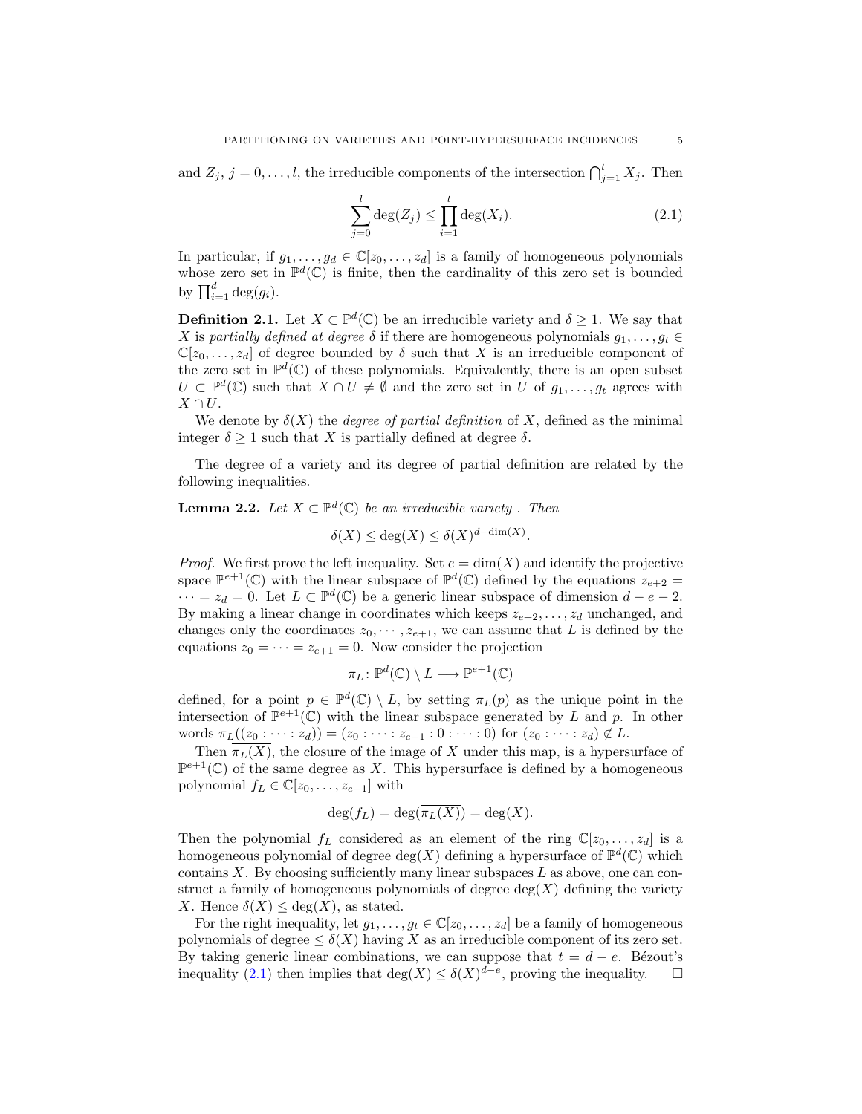and  $Z_j$ ,  $j = 0, \ldots, l$ , the irreducible components of the intersection  $\bigcap_{j=1}^{t} X_j$ . Then

<span id="page-4-1"></span>
$$
\sum_{j=0}^{l} \deg(Z_j) \le \prod_{i=1}^{t} \deg(X_i). \tag{2.1}
$$

In particular, if  $g_1, \ldots, g_d \in \mathbb{C}[z_0, \ldots, z_d]$  is a family of homogeneous polynomials whose zero set in  $\mathbb{P}^d(\mathbb{C})$  is finite, then the cardinality of this zero set is bounded by  $\prod_{i=1}^d \deg(g_i)$ .

**Definition 2.1.** Let  $X \subset \mathbb{P}^d(\mathbb{C})$  be an irreducible variety and  $\delta \geq 1$ . We say that X is partially defined at degree  $\delta$  if there are homogeneous polynomials  $g_1, \ldots, g_t \in$  $\mathbb{C}[z_0,\ldots,z_d]$  of degree bounded by  $\delta$  such that X is an irreducible component of the zero set in  $\mathbb{P}^d(\mathbb{C})$  of these polynomials. Equivalently, there is an open subset  $U \subset \mathbb{P}^d(\mathbb{C})$  such that  $X \cap U \neq \emptyset$  and the zero set in U of  $g_1, \ldots, g_t$  agrees with  $X \cap U$ .

We denote by  $\delta(X)$  the *degree of partial definition* of X, defined as the minimal integer  $\delta \geq 1$  such that X is partially defined at degree  $\delta$ .

The degree of a variety and its degree of partial definition are related by the following inequalities.

# <span id="page-4-0"></span>**Lemma 2.2.** Let  $X \subset \mathbb{P}^d(\mathbb{C})$  be an irreducible variety. Then

 $\delta(X) \leq \deg(X) \leq \delta(X)^{d-\dim(X)}.$ 

*Proof.* We first prove the left inequality. Set  $e = \dim(X)$  and identify the projective space  $\mathbb{P}^{e+1}(\mathbb{C})$  with the linear subspace of  $\mathbb{P}^d(\mathbb{C})$  defined by the equations  $z_{e+2}$  $\cdots = z_d = 0$ . Let  $L \subset \mathbb{P}^d(\mathbb{C})$  be a generic linear subspace of dimension  $d - e - 2$ . By making a linear change in coordinates which keeps  $z_{e+2}, \ldots, z_d$  unchanged, and changes only the coordinates  $z_0, \dots, z_{e+1}$ , we can assume that L is defined by the equations  $z_0 = \cdots = z_{e+1} = 0$ . Now consider the projection

$$
\pi_L \colon \mathbb{P}^d(\mathbb{C}) \setminus L \longrightarrow \mathbb{P}^{e+1}(\mathbb{C})
$$

defined, for a point  $p \in \mathbb{P}^d(\mathbb{C}) \setminus L$ , by setting  $\pi_L(p)$  as the unique point in the intersection of  $\mathbb{P}^{e+1}(\mathbb{C})$  with the linear subspace generated by L and p. In other words  $\pi_L((z_0 : \dots : z_d)) = (z_0 : \dots : z_{e+1} : 0 : \dots : 0)$  for  $(z_0 : \dots : z_d) \notin L$ .

Then  $\overline{\pi_L(X)}$ , the closure of the image of X under this map, is a hypersurface of  $\mathbb{P}^{e+1}(\mathbb{C})$  of the same degree as X. This hypersurface is defined by a homogeneous polynomial  $f_L \in \mathbb{C}[z_0, \ldots, z_{e+1}]$  with

$$
\deg(f_L) = \deg(\overline{\pi_L(X)}) = \deg(X).
$$

Then the polynomial  $f_L$  considered as an element of the ring  $\mathbb{C}[z_0, \ldots, z_d]$  is a homogeneous polynomial of degree  $deg(X)$  defining a hypersurface of  $\mathbb{P}^d(\mathbb{C})$  which contains  $X$ . By choosing sufficiently many linear subspaces  $L$  as above, one can construct a family of homogeneous polynomials of degree  $deg(X)$  defining the variety X. Hence  $\delta(X) \leq \deg(X)$ , as stated.

For the right inequality, let  $g_1, \ldots, g_t \in \mathbb{C}[z_0, \ldots, z_d]$  be a family of homogeneous polynomials of degree  $\leq \delta(X)$  having X as an irreducible component of its zero set. By taking generic linear combinations, we can suppose that  $t = d - e$ . Bézout's inequality [\(2.1\)](#page-4-1) then implies that  $\deg(X) \leq \delta(X)^{d-e}$ , proving the inequality.  $\square$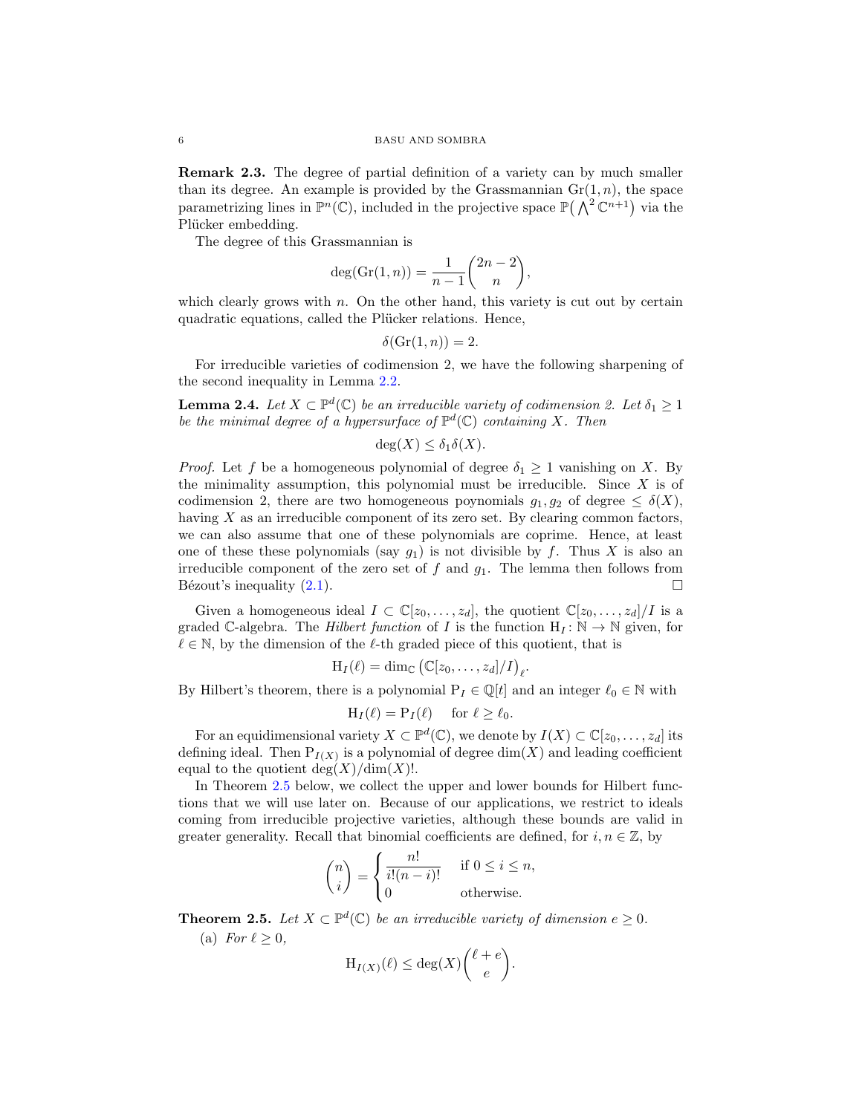Remark 2.3. The degree of partial definition of a variety can by much smaller than its degree. An example is provided by the Grassmannian  $\mathrm{Gr}(1,n)$ , the space parametrizing lines in  $\mathbb{P}^n(\mathbb{C})$ , included in the projective space  $\mathbb{P}(\bigwedge^2 \mathbb{C}^{n+1})$  via the Plücker embedding.

The degree of this Grassmannian is

$$
deg(\operatorname{Gr}(1, n)) = \frac{1}{n-1} {2n-2 \choose n},
$$

which clearly grows with  $n$ . On the other hand, this variety is cut out by certain quadratic equations, called the Plücker relations. Hence,

$$
\delta(\operatorname{Gr}(1, n)) = 2.
$$

For irreducible varieties of codimension 2, we have the following sharpening of the second inequality in Lemma [2.2.](#page-4-0)

<span id="page-5-2"></span>**Lemma 2.4.** Let  $X \subset \mathbb{P}^d(\mathbb{C})$  be an irreducible variety of codimension 2. Let  $\delta_1 \geq 1$ be the minimal degree of a hypersurface of  $\mathbb{P}^d(\mathbb{C})$  containing X. Then

$$
\deg(X) \le \delta_1 \delta(X).
$$

*Proof.* Let f be a homogeneous polynomial of degree  $\delta_1 \geq 1$  vanishing on X. By the minimality assumption, this polynomial must be irreducible. Since  $X$  is of codimension 2, there are two homogeneous poynomials  $g_1, g_2$  of degree  $\leq \delta(X)$ , having X as an irreducible component of its zero set. By clearing common factors, we can also assume that one of these polynomials are coprime. Hence, at least one of these these polynomials (say  $g_1$ ) is not divisible by f. Thus X is also an irreducible component of the zero set of  $f$  and  $g_1$ . The lemma then follows from Bézout's inequality  $(2.1)$ .

Given a homogeneous ideal  $I \subset \mathbb{C}[z_0,\ldots,z_d]$ , the quotient  $\mathbb{C}[z_0,\ldots,z_d]/I$  is a graded C-algebra. The *Hilbert function* of I is the function  $H_I: \mathbb{N} \to \mathbb{N}$  given, for  $\ell \in \mathbb{N}$ , by the dimension of the  $\ell$ -th graded piece of this quotient, that is

$$
H_I(\ell) = \dim_{\mathbb{C}} (\mathbb{C}[z_0,\ldots,z_d]/I)_{\ell}.
$$

By Hilbert's theorem, there is a polynomial  $P_I \in \mathbb{Q}[t]$  and an integer  $\ell_0 \in \mathbb{N}$  with

$$
H_I(\ell) = P_I(\ell) \quad \text{ for } \ell \ge \ell_0.
$$

For an equidimensional variety  $X \subset \mathbb{P}^d(\mathbb{C})$ , we denote by  $I(X) \subset \mathbb{C}[z_0, \ldots, z_d]$  its defining ideal. Then  $P_{I(X)}$  is a polynomial of degree  $\dim(X)$  and leading coefficient equal to the quotient  $deg(X)/dim(X)!$ .

In Theorem [2.5](#page-5-0) below, we collect the upper and lower bounds for Hilbert functions that we will use later on. Because of our applications, we restrict to ideals coming from irreducible projective varieties, although these bounds are valid in greater generality. Recall that binomial coefficients are defined, for  $i, n \in \mathbb{Z}$ , by

$$
\binom{n}{i} = \begin{cases} \frac{n!}{i!(n-i)!} & \text{if } 0 \le i \le n, \\ 0 & \text{otherwise.} \end{cases}
$$

<span id="page-5-1"></span><span id="page-5-0"></span>**Theorem 2.5.** Let  $X \subset \mathbb{P}^d(\mathbb{C})$  be an irreducible variety of dimension  $e \geq 0$ . (a) For  $\ell > 0$ ,

$$
H_{I(X)}(\ell) \le \deg(X) \binom{\ell+e}{e}.
$$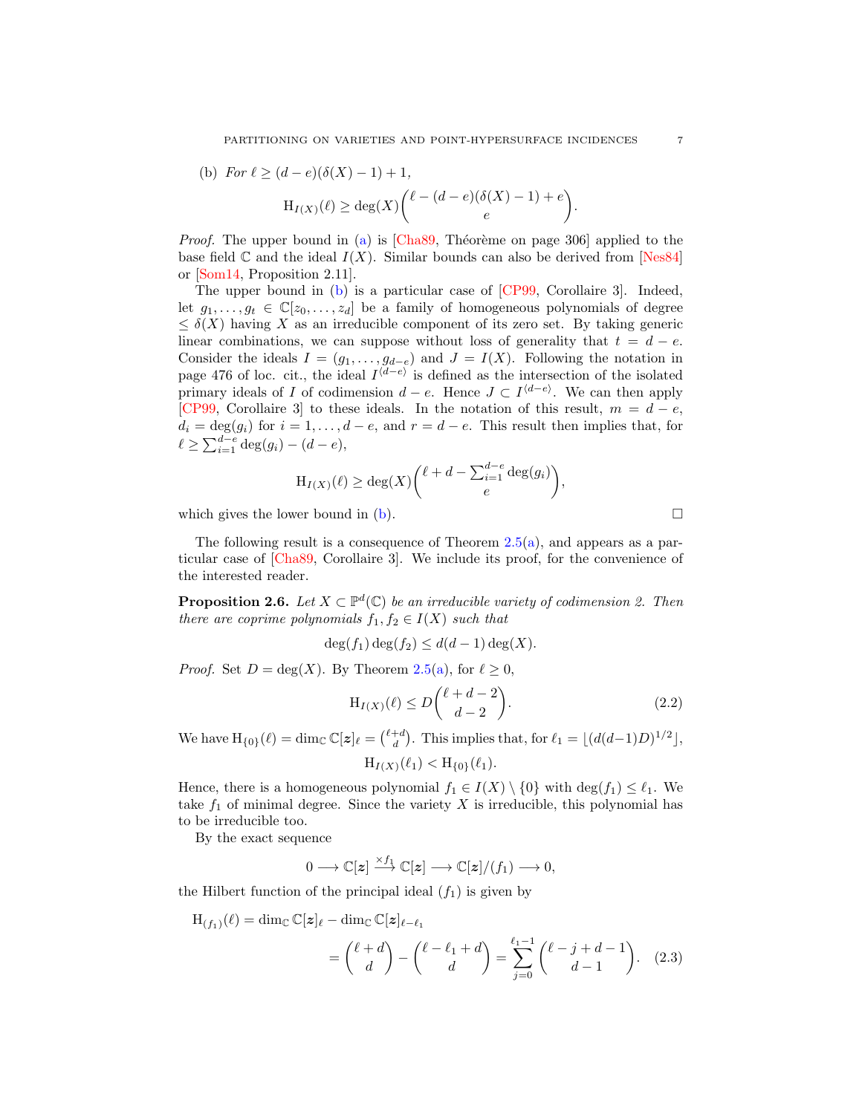PARTITIONING ON VARIETIES AND POINT-HYPERSURFACE INCIDENCES  $\hspace{0.5mm} 7$ 

<span id="page-6-3"></span><span id="page-6-0"></span>(b) For 
$$
\ell \geq (d-e)(\delta(X)-1)+1
$$
,

$$
\mathrm{H}_{I(X)}(\ell) \ge \deg(X) {\ell - (d-e)(\delta(X) - 1) + e \choose e}.
$$

*Proof.* The upper bound in [\(a\)](#page-5-1) is  $[Cha89, Théorème on page 306]$  $[Cha89, Théorème on page 306]$  applied to the base field  $\mathbb C$  and the ideal  $I(X)$ . Similar bounds can also be derived from [\[Nes84\]](#page-21-16) or [\[Som14,](#page-22-4) Proposition 2.11].

The upper bound in [\(b\)](#page-6-0) is a particular case of [\[CP99,](#page-21-9) Corollaire 3]. Indeed, let  $g_1, \ldots, g_t \in \mathbb{C}[z_0, \ldots, z_d]$  be a family of homogeneous polynomials of degree  $\leq \delta(X)$  having X as an irreducible component of its zero set. By taking generic linear combinations, we can suppose without loss of generality that  $t = d - e$ . Consider the ideals  $I = (g_1, \ldots, g_{d-e})$  and  $J = I(X)$ . Following the notation in page 476 of loc. cit., the ideal  $I^{\langle d-e \rangle}$  is defined as the intersection of the isolated primary ideals of I of codimension  $d - e$ . Hence  $J \subset I^{\langle d-e \rangle}$ . We can then apply [\[CP99,](#page-21-9) Corollaire 3] to these ideals. In the notation of this result,  $m = d - e$ ,  $d_i = \deg(q_i)$  for  $i = 1, \ldots, d - e$ , and  $r = d - e$ . This result then implies that, for  $\ell \ge \sum_{i=1}^{d-e} \deg(g_i) - (d-e),$ 

$$
H_{I(X)}(\ell) \ge \deg(X) {\ell + d - \sum_{i=1}^{d-e} \deg(g_i) \choose e},
$$

which gives the lower bound in  $(b)$ .

The following result is a consequence of Theorem  $2.5(a)$  $2.5(a)$ , and appears as a particular case of [\[Cha89,](#page-21-8) Corollaire 3]. We include its proof, for the convenience of the interested reader.

<span id="page-6-2"></span>**Proposition 2.6.** Let  $X \subset \mathbb{P}^d(\mathbb{C})$  be an irreducible variety of codimension 2. Then there are coprime polynomials  $f_1, f_2 \in I(X)$  such that

$$
\deg(f_1)\deg(f_2) \le d(d-1)\deg(X).
$$

*Proof.* Set  $D = \deg(X)$ . By Theorem [2.5](#page-5-0)[\(a\)](#page-5-1), for  $\ell \geq 0$ ,

$$
H_{I(X)}(\ell) \le D\binom{\ell+d-2}{d-2}.\tag{2.2}
$$

We have  $H_{\{0\}}(\ell) = \dim_{\mathbb{C}} \mathbb{C}[z]_{\ell} = {\ell+d \choose d}$ . This implies that, for  $\ell_1 = \lfloor (d(d-1)D)^{1/2} \rfloor$ ,

<span id="page-6-1"></span>
$$
H_{I(X)}(\ell_1) < H_{\{0\}}(\ell_1).
$$

Hence, there is a homogeneous polynomial  $f_1 \in I(X) \setminus \{0\}$  with  $\deg(f_1) \leq \ell_1$ . We take  $f_1$  of minimal degree. Since the variety  $X$  is irreducible, this polynomial has to be irreducible too.

By the exact sequence

$$
0 \longrightarrow \mathbb{C}[\boldsymbol{z}] \stackrel{\times f_1}{\longrightarrow} \mathbb{C}[\boldsymbol{z}] \longrightarrow \mathbb{C}[\boldsymbol{z}]/(f_1) \longrightarrow 0,
$$

the Hilbert function of the principal ideal  $(f_1)$  is given by

$$
H_{(f_1)}(\ell) = \dim_{\mathbb{C}} \mathbb{C}[z]_{\ell} - \dim_{\mathbb{C}} \mathbb{C}[z]_{\ell - \ell_1}
$$
  
= 
$$
{\ell + d \choose d} - {\ell - \ell_1 + d \choose d} = \sum_{j=0}^{\ell_1 - 1} {\ell - j + d - 1 \choose d - 1}. \quad (2.3)
$$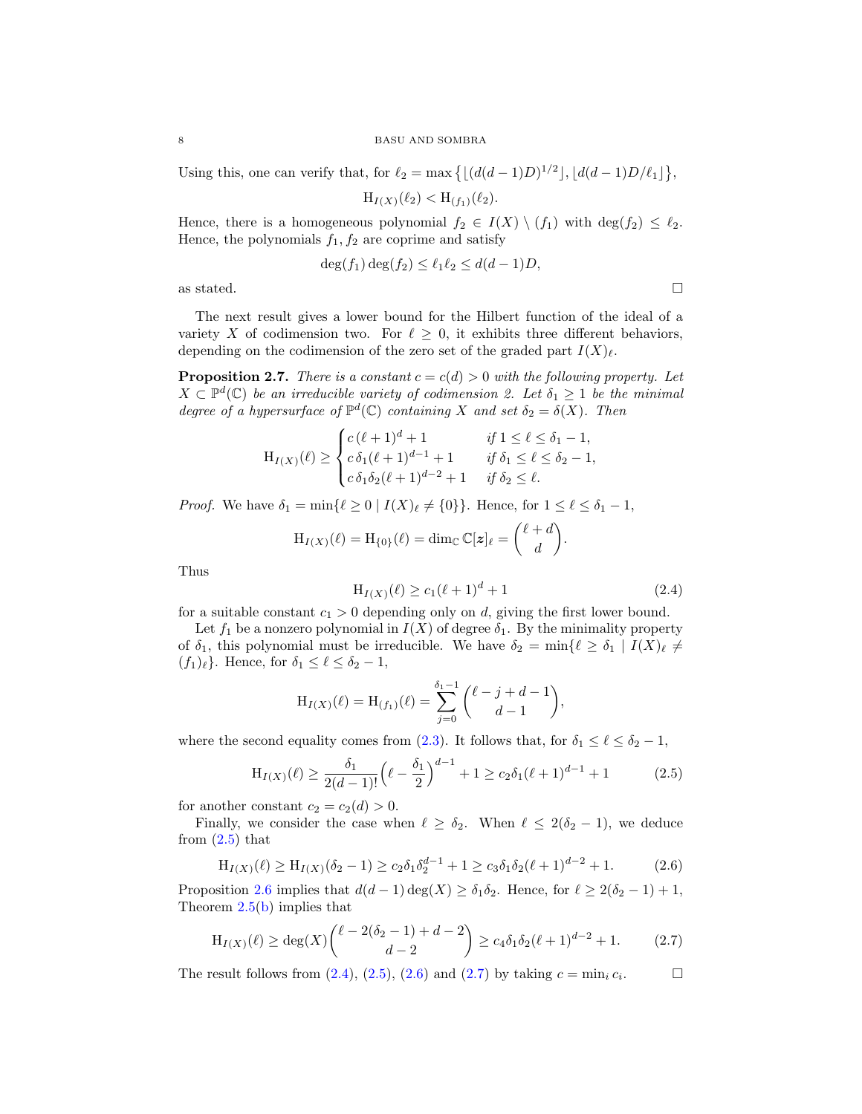Using this, one can verify that, for  $\ell_2 = \max\left\{ \lfloor (d(d-1)D)^{1/2} \rfloor, \lfloor d(d-1)D/\ell_1 \rfloor \right\}$ ,

 $H_{I(X)}(\ell_2) < H_{(f_1)}(\ell_2).$ 

Hence, there is a homogeneous polynomial  $f_2 \in I(X) \setminus (f_1)$  with  $\deg(f_2) \leq \ell_2$ . Hence, the polynomials  $f_1, f_2$  are coprime and satisfy

$$
\deg(f_1)\deg(f_2) \le \ell_1\ell_2 \le d(d-1)D,
$$

as stated.  $\hfill \square$ 

The next result gives a lower bound for the Hilbert function of the ideal of a variety X of codimension two. For  $\ell \geq 0$ , it exhibits three different behaviors, depending on the codimension of the zero set of the graded part  $I(X)_{\ell}$ .

<span id="page-7-4"></span>**Proposition 2.7.** There is a constant  $c = c(d) > 0$  with the following property. Let  $X \subset \mathbb{P}^d(\mathbb{C})$  be an irreducible variety of codimension 2. Let  $\delta_1 \geq 1$  be the minimal degree of a hypersurface of  $\mathbb{P}^d(\mathbb{C})$  containing X and set  $\delta_2 = \delta(X)$ . Then

$$
\mathrm{H}_{I(X)}(\ell) \geq \begin{cases} c(\ell+1)^d + 1 & \text{if } 1 \leq \ell \leq \delta_1 - 1, \\ c \,\delta_1(\ell+1)^{d-1} + 1 & \text{if } \delta_1 \leq \ell \leq \delta_2 - 1, \\ c \,\delta_1 \delta_2(\ell+1)^{d-2} + 1 & \text{if } \delta_2 \leq \ell. \end{cases}
$$

*Proof.* We have  $\delta_1 = \min\{\ell \geq 0 \mid I(X)\ell \neq \{0\}\}\.$  Hence, for  $1 \leq \ell \leq \delta_1 - 1$ ,

$$
H_{I(X)}(\ell) = H_{\{0\}}(\ell) = \dim_{\mathbb{C}} \mathbb{C}[z]_{\ell} = {\ell + d \choose d}.
$$

Thus

<span id="page-7-1"></span>
$$
H_{I(X)}(\ell) \ge c_1(\ell+1)^d + 1\tag{2.4}
$$

for a suitable constant  $c_1 > 0$  depending only on d, giving the first lower bound.

Let  $f_1$  be a nonzero polynomial in  $I(X)$  of degree  $\delta_1$ . By the minimality property of  $\delta_1$ , this polynomial must be irreducible. We have  $\delta_2 = \min\{\ell \geq \delta_1 \mid I(X)_{\ell} \neq \ell\}$  $(f_1)_\ell$ . Hence, for  $\delta_1 \leq \ell \leq \delta_2 - 1$ ,

$$
H_{I(X)}(\ell) = H_{(f_1)}(\ell) = \sum_{j=0}^{\delta_1 - 1} {\ell - j + d - 1 \choose d - 1},
$$

where the second equality comes from [\(2.3\)](#page-6-1). It follows that, for  $\delta_1 \leq \ell \leq \delta_2 - 1$ ,

<span id="page-7-0"></span>
$$
H_{I(X)}(\ell) \ge \frac{\delta_1}{2(d-1)!} \left(\ell - \frac{\delta_1}{2}\right)^{d-1} + 1 \ge c_2 \delta_1 (\ell + 1)^{d-1} + 1 \tag{2.5}
$$

for another constant  $c_2 = c_2(d) > 0$ .

Finally, we consider the case when  $\ell \geq \delta_2$ . When  $\ell \leq 2(\delta_2 - 1)$ , we deduce from  $(2.5)$  that

<span id="page-7-2"></span>
$$
H_{I(X)}(\ell) \ge H_{I(X)}(\delta_2 - 1) \ge c_2 \delta_1 \delta_2^{d-1} + 1 \ge c_3 \delta_1 \delta_2 (\ell + 1)^{d-2} + 1. \tag{2.6}
$$

Proposition [2.6](#page-6-2) implies that  $d(d-1) \deg(X) \geq \delta_1 \delta_2$ . Hence, for  $\ell \geq 2(\delta_2 - 1) + 1$ , Theorem [2.5](#page-5-0)[\(b\)](#page-6-0) implies that

<span id="page-7-3"></span>
$$
H_{I(X)}(\ell) \ge \deg(X) {\ell - 2(\delta_2 - 1) + d - 2 \choose d - 2} \ge c_4 \delta_1 \delta_2 (\ell + 1)^{d - 2} + 1.
$$
 (2.7)

The result follows from  $(2.4)$ ,  $(2.5)$ ,  $(2.6)$  and  $(2.7)$  by taking  $c = \min_i c_i$ .  $\Box$ 

$$
\sqcup
$$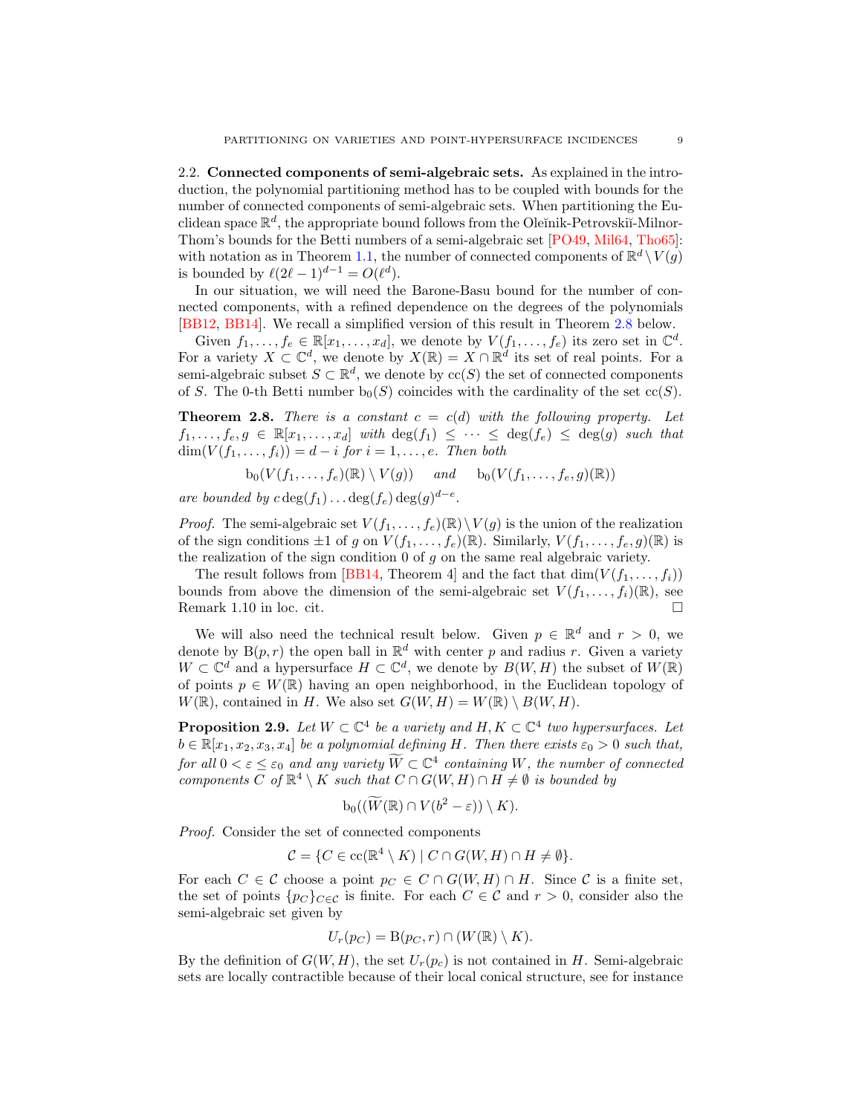<span id="page-8-2"></span>2.2. Connected components of semi-algebraic sets. As explained in the introduction, the polynomial partitioning method has to be coupled with bounds for the number of connected components of semi-algebraic sets. When partitioning the Euclidean space  $\mathbb{R}^d$ , the appropriate bound follows from the Oleĭnik-Petrovskiı̆-Milnor-Thom's bounds for the Betti numbers of a semi-algebraic set [\[PO49,](#page-21-5) [Mil64,](#page-21-6) [Tho65\]](#page-22-1): with notation as in Theorem [1.1,](#page-1-1) the number of connected components of  $\mathbb{R}^d \setminus V(g)$ is bounded by  $\ell(2\ell - 1)^{d-1} = O(\ell^d)$ .

In our situation, we will need the Barone-Basu bound for the number of connected components, with a refined dependence on the degrees of the polynomials [\[BB12,](#page-21-12) [BB14\]](#page-21-13). We recall a simplified version of this result in Theorem [2.8](#page-8-0) below.

Given  $f_1, \ldots, f_e \in \mathbb{R}[x_1, \ldots, x_d]$ , we denote by  $V(f_1, \ldots, f_e)$  its zero set in  $\mathbb{C}^d$ . For a variety  $X \subset \mathbb{C}^d$ , we denote by  $X(\mathbb{R}) = X \cap \mathbb{R}^d$  its set of real points. For a semi-algebraic subset  $S \subset \mathbb{R}^d$ , we denote by  $\operatorname{cc}(S)$  the set of connected components of S. The 0-th Betti number  $b_0(S)$  coincides with the cardinality of the set  $cc(S)$ .

<span id="page-8-0"></span>**Theorem 2.8.** There is a constant  $c = c(d)$  with the following property. Let  $f_1, \ldots, f_e, g \in \mathbb{R}[x_1, \ldots, x_d]$  with  $\deg(f_1) \leq \cdots \leq \deg(f_e) \leq \deg(g)$  such that  $dim(V(f_1,\ldots,f_i)) = d - i$  for  $i = 1,\ldots,e$ . Then both

$$
b_0(V(f_1,\ldots,f_e)(\mathbb{R})\setminus V(g))
$$
 and  $b_0(V(f_1,\ldots,f_e,g)(\mathbb{R}))$ 

are bounded by  $c \deg(f_1) \dots \deg(f_e) \deg(g)^{d-e}$ .

*Proof.* The semi-algebraic set  $V(f_1, \ldots, f_e)(\mathbb{R}) \setminus V(g)$  is the union of the realization of the sign conditions  $\pm 1$  of g on  $V(f_1,\ldots,f_e)(\mathbb{R})$ . Similarly,  $V(f_1,\ldots,f_e,g)(\mathbb{R})$  is the realization of the sign condition  $0$  of  $g$  on the same real algebraic variety.

The result follows from [\[BB14,](#page-21-13) Theorem 4] and the fact that  $\dim(V(f_1,\ldots,f_i))$ bounds from above the dimension of the semi-algebraic set  $V(f_1, \ldots, f_i)(\mathbb{R})$ , see Remark 1.10 in loc. cit.

We will also need the technical result below. Given  $p \in \mathbb{R}^d$  and  $r > 0$ , we denote by  $B(p,r)$  the open ball in  $\mathbb{R}^d$  with center p and radius r. Given a variety  $W \subset \mathbb{C}^d$  and a hypersurface  $H \subset \mathbb{C}^d$ , we denote by  $B(W, H)$  the subset of  $W(\mathbb{R})$ of points  $p \in W(\mathbb{R})$  having an open neighborhood, in the Euclidean topology of  $W(\mathbb{R})$ , contained in H. We also set  $G(W, H) = W(\mathbb{R}) \setminus B(W, H)$ .

<span id="page-8-1"></span>**Proposition 2.9.** Let  $W \subset \mathbb{C}^4$  be a variety and  $H, K \subset \mathbb{C}^4$  two hypersurfaces. Let  $b \in \mathbb{R}[x_1, x_2, x_3, x_4]$  be a polynomial defining H. Then there exists  $\varepsilon_0 > 0$  such that, for all  $0 < \varepsilon \leq \varepsilon_0$  and any variety  $\widetilde{W} \subset \mathbb{C}^4$  containing W, the number of connected components C of  $\mathbb{R}^4 \setminus K$  such that  $C \cap G(W, H) \cap H \neq \emptyset$  is bounded by

$$
b_0((\widetilde{W}(\mathbb{R}) \cap V(b^2-\varepsilon)) \setminus K).
$$

Proof. Consider the set of connected components

$$
\mathcal{C} = \{ C \in \operatorname{cc}(\mathbb{R}^4 \setminus K) \mid C \cap G(W, H) \cap H \neq \emptyset \}.
$$

For each  $C \in \mathcal{C}$  choose a point  $p_C \in C \cap G(W, H) \cap H$ . Since C is a finite set, the set of points  $\{p_C\}_{C\in\mathcal{C}}$  is finite. For each  $C\in\mathcal{C}$  and  $r>0$ , consider also the semi-algebraic set given by

$$
U_r(p_C) = B(p_C, r) \cap (W(\mathbb{R}) \setminus K).
$$

By the definition of  $G(W, H)$ , the set  $U_r(p_c)$  is not contained in H. Semi-algebraic sets are locally contractible because of their local conical structure, see for instance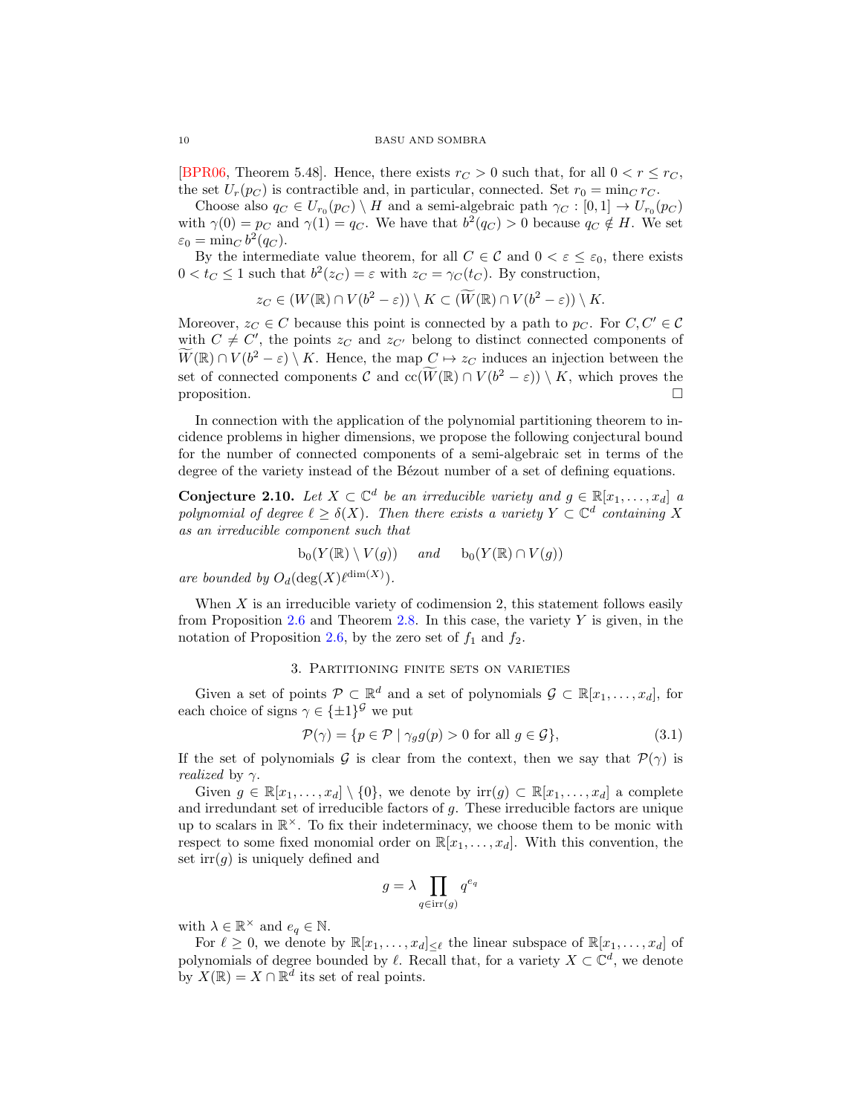<span id="page-9-3"></span>[\[BPR06,](#page-21-17) Theorem 5.48]. Hence, there exists  $r_C > 0$  such that, for all  $0 < r \leq r_C$ , the set  $U_r(p_C)$  is contractible and, in particular, connected. Set  $r_0 = \min_C r_C$ .

Choose also  $q_C \in U_{r_0}(p_C) \setminus H$  and a semi-algebraic path  $\gamma_C : [0,1] \to U_{r_0}(p_C)$ with  $\gamma(0) = p_C$  and  $\gamma(1) = q_C$ . We have that  $b^2(q_C) > 0$  because  $q_C \notin H$ . We set  $\varepsilon_0 = \min_C b^2(q_C).$ 

By the intermediate value theorem, for all  $C \in \mathcal{C}$  and  $0 < \varepsilon \leq \varepsilon_0$ , there exists  $0 < t_C \leq 1$  such that  $b^2(z_C) = \varepsilon$  with  $z_C = \gamma_C(t_C)$ . By construction,

$$
z_C \in (W(\mathbb{R}) \cap V(b^2 - \varepsilon)) \setminus K \subset (\widetilde{W}(\mathbb{R}) \cap V(b^2 - \varepsilon)) \setminus K.
$$

Moreover,  $z_C \in C$  because this point is connected by a path to  $p_C$ . For  $C, C' \in C$ with  $C \neq C'$ , the points  $z_C$  and  $z_{C'}$  belong to distinct connected components of  $\widetilde{W}(\mathbb{R}) \cap V(b^2 - \varepsilon) \setminus K$ . Hence, the map  $C \mapsto z_C$  induces an injection between the set of connected components C and  $cc(\widetilde{W}(\mathbb{R}) \cap V(b^2 - \varepsilon)) \setminus K$ , which proves the proposition.

In connection with the application of the polynomial partitioning theorem to incidence problems in higher dimensions, we propose the following conjectural bound for the number of connected components of a semi-algebraic set in terms of the degree of the variety instead of the Bézout number of a set of defining equations.

<span id="page-9-1"></span>Conjecture 2.10. Let  $X \subset \mathbb{C}^d$  be an irreducible variety and  $g \in \mathbb{R}[x_1, \ldots, x_d]$  a polynomial of degree  $\ell \geq \delta(X)$ . Then there exists a variety  $Y \subset \mathbb{C}^d$  containing X as an irreducible component such that

$$
b_0(Y(\mathbb{R}) \setminus V(g)) \quad and \quad b_0(Y(\mathbb{R}) \cap V(g))
$$

are bounded by  $O_d(\deg(X)\ell^{\dim(X)})$ .

When  $X$  is an irreducible variety of codimension 2, this statement follows easily from Proposition [2.6](#page-6-2) and Theorem [2.8.](#page-8-0) In this case, the variety  $Y$  is given, in the notation of Proposition [2.6,](#page-6-2) by the zero set of  $f_1$  and  $f_2$ .

### 3. Partitioning finite sets on varieties

<span id="page-9-0"></span>Given a set of points  $\mathcal{P} \subset \mathbb{R}^d$  and a set of polynomials  $\mathcal{G} \subset \mathbb{R}[x_1,\ldots,x_d]$ , for each choice of signs  $\gamma \in {\{\pm 1\}}^{\mathcal{G}}$  we put

<span id="page-9-2"></span>
$$
\mathcal{P}(\gamma) = \{ p \in \mathcal{P} \mid \gamma_g g(p) > 0 \text{ for all } g \in \mathcal{G} \},\tag{3.1}
$$

If the set of polynomials G is clear from the context, then we say that  $\mathcal{P}(\gamma)$  is *realized* by  $\gamma$ .

Given  $g \in \mathbb{R}[x_1,\ldots,x_d] \setminus \{0\}$ , we denote by  $\text{irr}(g) \subset \mathbb{R}[x_1,\ldots,x_d]$  a complete and irredundant set of irreducible factors of g. These irreducible factors are unique up to scalars in  $\mathbb{R}^{\times}$ . To fix their indeterminacy, we choose them to be monic with respect to some fixed monomial order on  $\mathbb{R}[x_1, \ldots, x_d]$ . With this convention, the set  $irr(g)$  is uniquely defined and

$$
g = \lambda \prod_{q \in \text{irr}(g)} q^{e_q}
$$

with  $\lambda \in \mathbb{R}^\times$  and  $e_q \in \mathbb{N}$ .

For  $\ell \geq 0$ , we denote by  $\mathbb{R}[x_1, \ldots, x_d]_{\leq \ell}$  the linear subspace of  $\mathbb{R}[x_1, \ldots, x_d]$  of polynomials of degree bounded by  $\ell$ . Recall that, for a variety  $X \subset \mathbb{C}^d$ , we denote by  $X(\mathbb{R}) = X \cap \mathbb{R}^d$  its set of real points.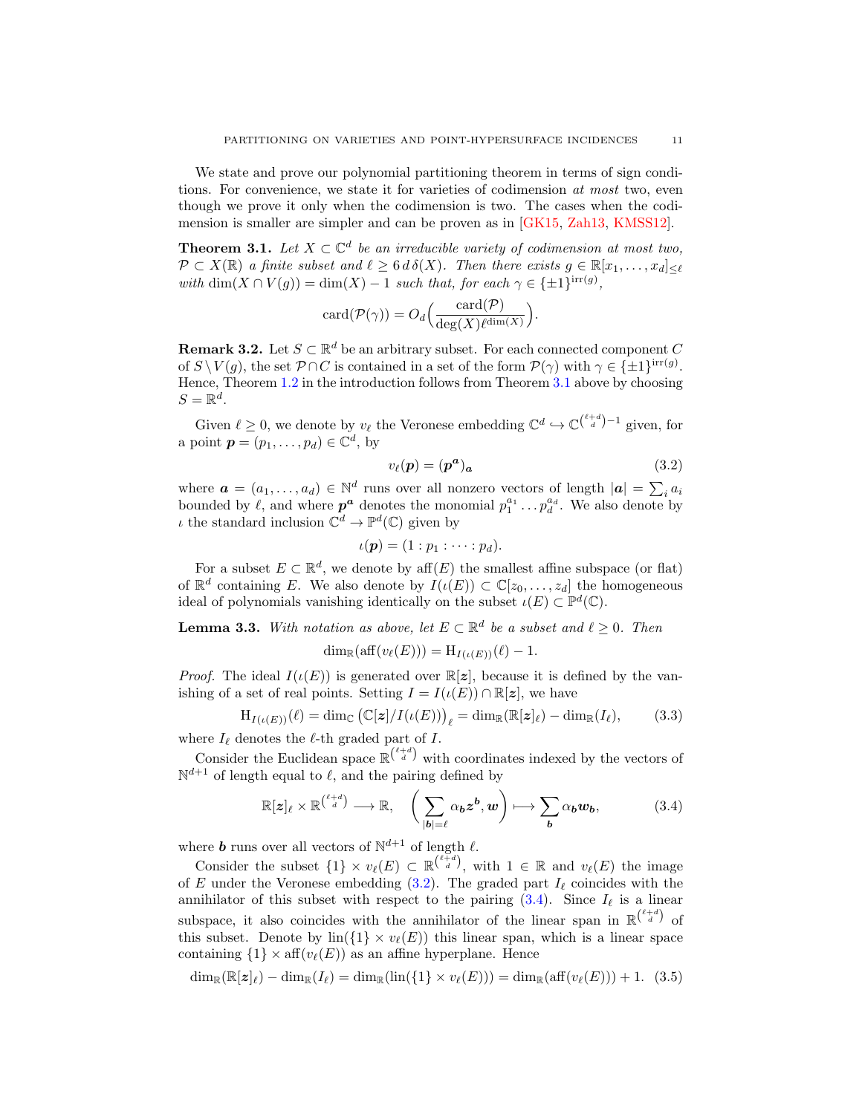<span id="page-10-7"></span>We state and prove our polynomial partitioning theorem in terms of sign conditions. For convenience, we state it for varieties of codimension at most two, even though we prove it only when the codimension is two. The cases when the codimension is smaller are simpler and can be proven as in [\[GK15,](#page-21-1) [Zah13,](#page-22-2) [KMSS12\]](#page-21-7).

<span id="page-10-0"></span>**Theorem 3.1.** Let  $X \subset \mathbb{C}^d$  be an irreducible variety of codimension at most two,  $\mathcal{P} \subset X(\mathbb{R})$  a finite subset and  $\ell \geq 6 d \delta(X)$ . Then there exists  $g \in \mathbb{R}[x_1, \ldots, x_d]_{\leq \ell}$ with  $\dim(X \cap V(g)) = \dim(X) - 1$  such that, for each  $\gamma \in \{\pm 1\}^{\text{irr}(g)}$ ,

$$
card(\mathcal{P}(\gamma)) = O_d\left(\frac{card(\mathcal{P})}{deg(X)\ell^{dim(X)}}\right).
$$

<span id="page-10-6"></span>**Remark 3.2.** Let  $S \subset \mathbb{R}^d$  be an arbitrary subset. For each connected component C of  $S \setminus V(g)$ , the set  $\mathcal{P} \cap C$  is contained in a set of the form  $\mathcal{P}(\gamma)$  with  $\gamma \in \{\pm 1\}^{\text{irr}(g)}$ . Hence, Theorem [1.2](#page-1-0) in the introduction follows from Theorem [3.1](#page-10-0) above by choosing  $S=\mathbb{R}^d$ .

Given  $\ell \geq 0$ , we denote by  $v_{\ell}$  the Veronese embedding  $\mathbb{C}^d \hookrightarrow \mathbb{C}^{\binom{\ell+d}{d}-1}$  given, for a point  $\boldsymbol{p} = (p_1, \ldots, p_d) \in \mathbb{C}^d$ , by

<span id="page-10-1"></span>
$$
v_{\ell}(\boldsymbol{p}) = (\boldsymbol{p}^{\boldsymbol{a}})_{\boldsymbol{a}} \tag{3.2}
$$

where  $\boldsymbol{a} = (a_1, \dots, a_d) \in \mathbb{N}^d$  runs over all nonzero vectors of length  $|\boldsymbol{a}| = \sum_i a_i$ bounded by  $\ell$ , and where  $p^a$  denotes the monomial  $p_1^{a_1} \ldots p_d^{a_d}$ . We also denote by  $\iota$  the standard inclusion  $\mathbb{C}^d \to \mathbb{P}^d(\mathbb{C})$  given by

$$
\iota(\boldsymbol{p})=(1:p_1:\cdots:p_d).
$$

For a subset  $E \subset \mathbb{R}^d$ , we denote by aff $(E)$  the smallest affine subspace (or flat) of  $\mathbb{R}^d$  containing E. We also denote by  $I(\iota(E)) \subset \mathbb{C}[z_0,\ldots,z_d]$  the homogeneous ideal of polynomials vanishing identically on the subset  $\iota(E) \subset \mathbb{P}^d(\mathbb{C})$ .

<span id="page-10-5"></span>**Lemma 3.3.** With notation as above, let  $E \subset \mathbb{R}^d$  be a subset and  $\ell \geq 0$ . Then

$$
\dim_{\mathbb{R}}(\text{aff}(v_{\ell}(E))) = \mathrm{H}_{I(\iota(E))}(\ell) - 1.
$$

*Proof.* The ideal  $I(\iota(E))$  is generated over  $\mathbb{R}[z]$ , because it is defined by the vanishing of a set of real points. Setting  $I = I(\iota(E)) \cap \mathbb{R}[z]$ , we have

<span id="page-10-3"></span>
$$
H_{I(\iota(E))}(\ell) = \dim_{\mathbb{C}} (\mathbb{C}[\boldsymbol{z}]/I(\iota(E)))_{\ell} = \dim_{\mathbb{R}} (\mathbb{R}[\boldsymbol{z}]_{\ell}) - \dim_{\mathbb{R}} (I_{\ell}), \tag{3.3}
$$

where  $I_\ell$  denotes the  $\ell$ -th graded part of I.

Consider the Euclidean space  $\mathbb{R}^{\binom{\ell+d}{d}}$  with coordinates indexed by the vectors of  $\mathbb{N}^{d+1}$  of length equal to  $\ell$ , and the pairing defined by

<span id="page-10-2"></span>
$$
\mathbb{R}[z]_{\ell} \times \mathbb{R}^{\binom{\ell+d}{d}} \longrightarrow \mathbb{R}, \quad \left(\sum_{|\boldsymbol{b}|=\ell} \alpha_{\boldsymbol{b}} z^{\boldsymbol{b}}, w\right) \longmapsto \sum_{\boldsymbol{b}} \alpha_{\boldsymbol{b}} w_{\boldsymbol{b}}, \tag{3.4}
$$

where **b** runs over all vectors of  $\mathbb{N}^{d+1}$  of length  $\ell$ .

Consider the subset  $\{1\} \times v_{\ell}(E) \subset \mathbb{R}^{\ell+d \choose d}$ , with  $1 \in \mathbb{R}$  and  $v_{\ell}(E)$  the image of E under the Veronese embedding  $(3.2)$ . The graded part  $I_\ell$  coincides with the annihilator of this subset with respect to the pairing  $(3.4)$ . Since  $I_{\ell}$  is a linear subspace, it also coincides with the annihilator of the linear span in  $\mathbb{R}^{\binom{\ell+d}{d}}$  of this subset. Denote by  $\text{lin}(\{1\} \times v_{\ell}(E))$  this linear span, which is a linear space containing  $\{1\} \times \text{aff}(v_{\ell}(E))$  as an affine hyperplane. Hence

<span id="page-10-4"></span>
$$
\dim_{\mathbb{R}}(\mathbb{R}[z]_{\ell}) - \dim_{\mathbb{R}}(I_{\ell}) = \dim_{\mathbb{R}}(\text{lin}(\{1\} \times v_{\ell}(E))) = \dim_{\mathbb{R}}(\text{aff}(v_{\ell}(E))) + 1. (3.5)
$$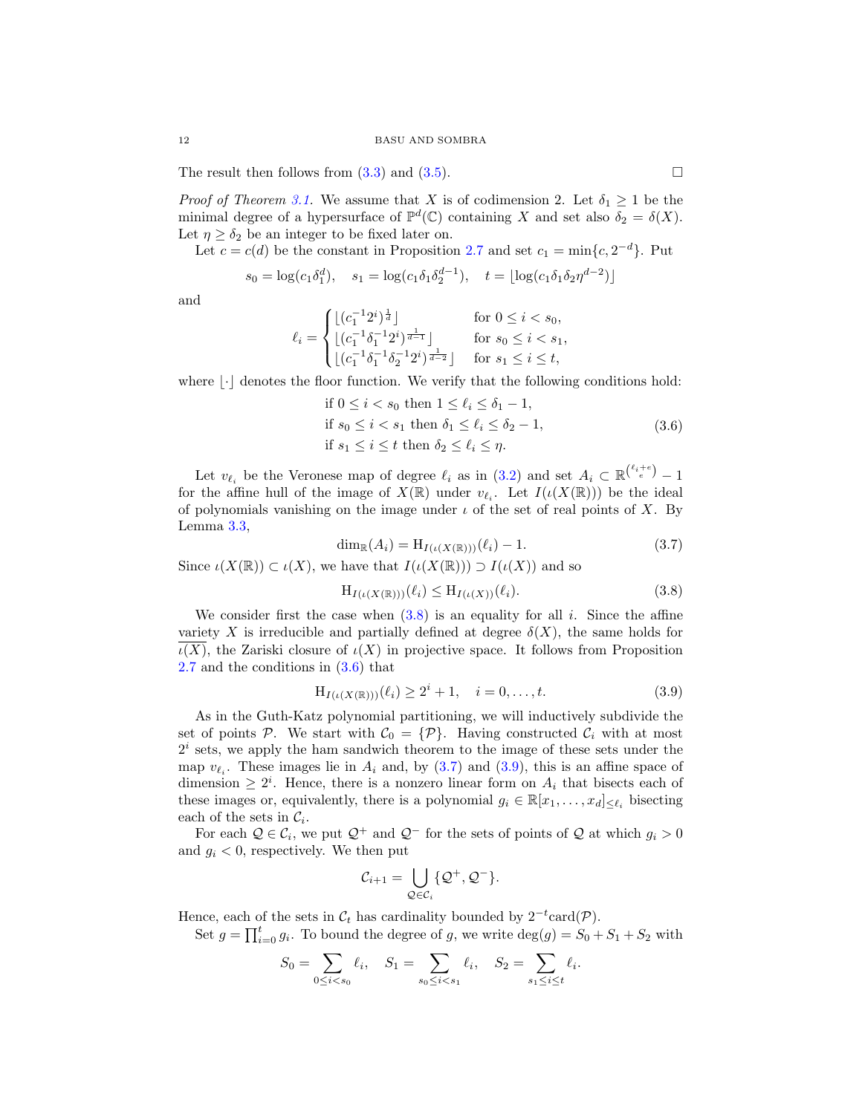The result then follows from  $(3.3)$  and  $(3.5)$ .

*Proof of Theorem [3.1.](#page-10-0)* We assume that X is of codimension 2. Let  $\delta_1 \geq 1$  be the minimal degree of a hypersurface of  $\mathbb{P}^d(\mathbb{C})$  containing X and set also  $\delta_2 = \delta(X)$ . Let  $\eta \geq \delta_2$  be an integer to be fixed later on.

Let  $c = c(d)$  be the constant in Proposition [2.7](#page-7-4) and set  $c_1 = \min\{c, 2^{-d}\}\$ . Put

$$
s_0 = \log(c_1 \delta_1^d), \quad s_1 = \log(c_1 \delta_1 \delta_2^{d-1}), \quad t = \lfloor \log(c_1 \delta_1 \delta_2 \eta^{d-2}) \rfloor
$$

and

$$
\ell_i = \begin{cases} \lfloor (c_1^{-1}2^i)^{\frac{1}{d}} \rfloor & \text{for } 0 \le i < s_0, \\ \lfloor (c_1^{-1}\delta_1^{-1}2^i)^{\frac{1}{d-1}} \rfloor & \text{for } s_0 \le i < s_1, \\ \lfloor (c_1^{-1}\delta_1^{-1}\delta_2^{-1}2^i)^{\frac{1}{d-2}} \rfloor & \text{for } s_1 \le i \le t, \end{cases}
$$

where  $\lvert \cdot \rvert$  denotes the floor function. We verify that the following conditions hold:

<span id="page-11-1"></span>if 
$$
0 \le i < s_0
$$
 then  $1 \le \ell_i \le \delta_1 - 1$ ,  
if  $s_0 \le i < s_1$  then  $\delta_1 \le \ell_i \le \delta_2 - 1$ ,  
if  $s_1 \le i \le t$  then  $\delta_2 \le \ell_i \le \eta$ . (3.6)

Let  $v_{\ell_i}$  be the Veronese map of degree  $\ell_i$  as in [\(3.2\)](#page-10-1) and set  $A_i \subset \mathbb{R}^{\binom{\ell_i+e}{e}}-1$ for the affine hull of the image of  $X(\mathbb{R})$  under  $v_{\ell_i}$ . Let  $I(\iota(X(\mathbb{R})))$  be the ideal of polynomials vanishing on the image under  $\iota$  of the set of real points of X. By Lemma [3.3,](#page-10-5)

<span id="page-11-2"></span>
$$
\dim_{\mathbb{R}}(A_i) = H_{I(\iota(X(\mathbb{R})))}(\ell_i) - 1.
$$
\n(3.7)

Since  $\iota(X(\mathbb{R})) \subset \iota(X)$ , we have that  $I(\iota(X(\mathbb{R}))) \supset I(\iota(X))$  and so

<span id="page-11-0"></span>
$$
H_{I(\iota(X(\mathbb{R})))}(\ell_i) \le H_{I(\iota(X))}(\ell_i). \tag{3.8}
$$

We consider first the case when  $(3.8)$  is an equality for all i. Since the affine variety X is irreducible and partially defined at degree  $\delta(X)$ , the same holds for  $\overline{\iota(X)}$ , the Zariski closure of  $\iota(X)$  in projective space. It follows from Proposition [2.7](#page-7-4) and the conditions in [\(3.6\)](#page-11-1) that

<span id="page-11-3"></span>
$$
H_{I(\iota(X(\mathbb{R})))}(\ell_i) \ge 2^i + 1, \quad i = 0, \dots, t.
$$
\n(3.9)

As in the Guth-Katz polynomial partitioning, we will inductively subdivide the set of points P. We start with  $\mathcal{C}_0 = {\{P\}}$ . Having constructed  $\mathcal{C}_i$  with at most  $2<sup>i</sup>$  sets, we apply the ham sandwich theorem to the image of these sets under the map  $v_{\ell_i}$ . These images lie in  $A_i$  and, by [\(3.7\)](#page-11-2) and [\(3.9\)](#page-11-3), this is an affine space of dimension  $\geq 2^i$ . Hence, there is a nonzero linear form on  $A_i$  that bisects each of these images or, equivalently, there is a polynomial  $g_i \in \mathbb{R}[x_1, \ldots, x_d]_{\leq \ell_i}$  bisecting each of the sets in  $\mathcal{C}_i$ .

For each  $\mathcal{Q} \in \mathcal{C}_i$ , we put  $\mathcal{Q}^+$  and  $\mathcal{Q}^-$  for the sets of points of  $\mathcal{Q}$  at which  $g_i > 0$ and  $g_i < 0$ , respectively. We then put

$$
\mathcal{C}_{i+1} = \bigcup_{\mathcal{Q} \in \mathcal{C}_i} \{ \mathcal{Q}^+, \mathcal{Q}^- \}.
$$

Hence, each of the sets in  $\mathcal{C}_t$  has cardinality bounded by  $2^{-t} \text{card}(\mathcal{P})$ .

Set  $g = \prod_{i=0}^{t} g_i$ . To bound the degree of g, we write  $\deg(g) = S_0 + S_1 + S_2$  with

$$
S_0 = \sum_{0 \le i < s_0} \ell_i, \quad S_1 = \sum_{s_0 \le i < s_1} \ell_i, \quad S_2 = \sum_{s_1 \le i \le t} \ell_i.
$$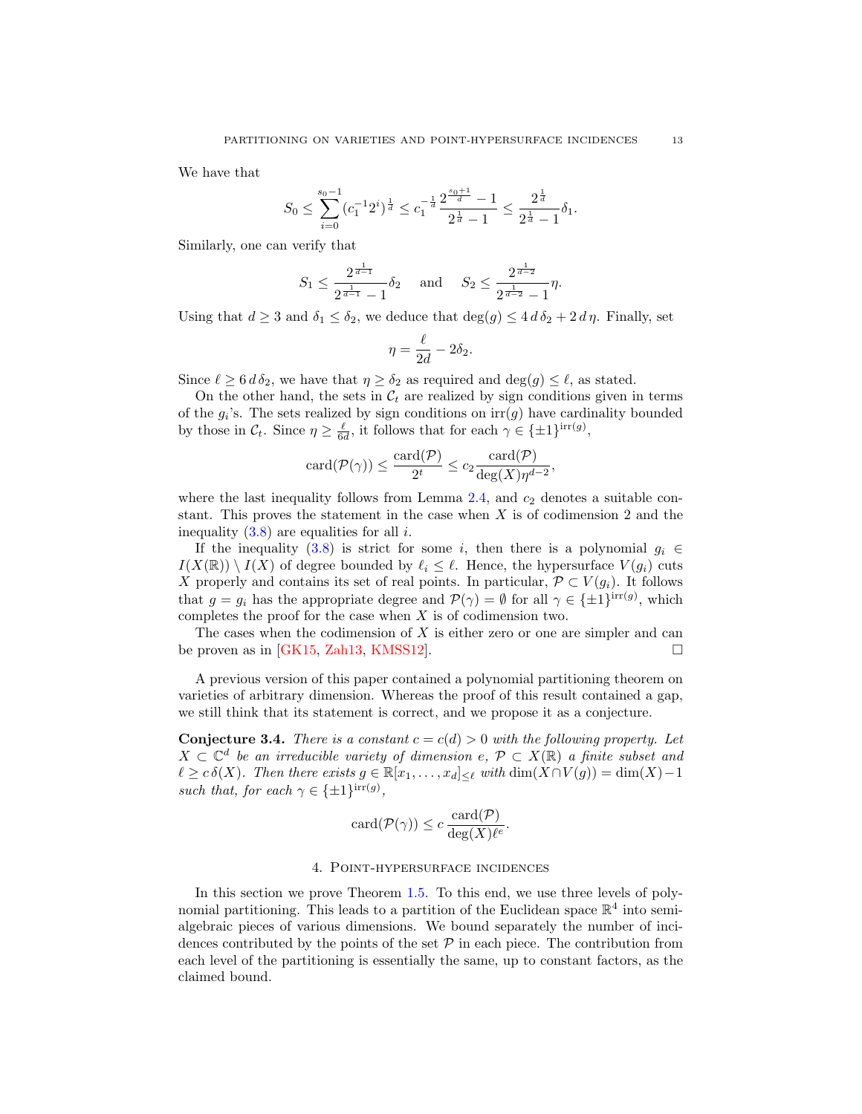<span id="page-12-2"></span>We have that

$$
S_0 \le \sum_{i=0}^{s_0-1} (c_1^{-1} 2^i)^{\frac{1}{d}} \le c_1^{-\frac{1}{d}} \frac{2^{\frac{s_0+1}{d}}-1}{2^{\frac{1}{d}}-1} \le \frac{2^{\frac{1}{d}}}{2^{\frac{1}{d}}-1} \delta_1.
$$

Similarly, one can verify that

$$
S_1 \le \frac{2^{\frac{1}{d-1}}}{2^{\frac{1}{d-1}}-1} \delta_2 \quad \text{and} \quad S_2 \le \frac{2^{\frac{1}{d-2}}}{2^{\frac{1}{d-2}}-1} \eta.
$$

Using that  $d \geq 3$  and  $\delta_1 \leq \delta_2$ , we deduce that  $\deg(g) \leq 4 d \delta_2 + 2 d \eta$ . Finally, set

$$
\eta = \frac{\ell}{2d} - 2\delta_2.
$$

Since  $\ell \geq 6 d \delta_2$ , we have that  $\eta \geq \delta_2$  as required and  $\deg(g) \leq \ell$ , as stated.

On the other hand, the sets in  $\mathcal{C}_t$  are realized by sign conditions given in terms of the  $g_i$ 's. The sets realized by sign conditions on  $\text{irr}(g)$  have cardinality bounded by those in  $\mathcal{C}_t$ . Since  $\eta \geq \frac{\ell}{6d}$ , it follows that for each  $\gamma \in {\{\pm 1\}}^{\text{irr}(g)}$ ,

$$
card(\mathcal{P}(\gamma)) \le \frac{card(\mathcal{P})}{2^t} \le c_2 \frac{card(\mathcal{P})}{deg(X)\eta^{d-2}},
$$

where the last inequality follows from Lemma  $2.4$ , and  $c_2$  denotes a suitable constant. This proves the statement in the case when  $X$  is of codimension 2 and the inequality  $(3.8)$  are equalities for all *i*.

If the inequality [\(3.8\)](#page-11-0) is strict for some i, then there is a polynomial  $g_i \in$  $I(X(\mathbb{R})) \setminus I(X)$  of degree bounded by  $\ell_i \leq \ell$ . Hence, the hypersurface  $V(g_i)$  cuts X properly and contains its set of real points. In particular,  $\mathcal{P} \subset V(g_i)$ . It follows that  $g = g_i$  has the appropriate degree and  $\mathcal{P}(\gamma) = \emptyset$  for all  $\gamma \in {\{\pm 1\}}^{\text{irr}(g)}$ , which completes the proof for the case when X is of codimension two.

The cases when the codimension of  $X$  is either zero or one are simpler and can be proven as in [\[GK15,](#page-21-1) [Zah13,](#page-22-2) [KMSS12\]](#page-21-7).  $\square$ 

A previous version of this paper contained a polynomial partitioning theorem on varieties of arbitrary dimension. Whereas the proof of this result contained a gap, we still think that its statement is correct, and we propose it as a conjecture.

<span id="page-12-1"></span>**Conjecture 3.4.** There is a constant  $c = c(d) > 0$  with the following property. Let  $X \subset \mathbb{C}^d$  be an irreducible variety of dimension  $e, \mathcal{P} \subset X(\mathbb{R})$  a finite subset and  $\ell \geq c \, \delta(X)$ . Then there exists  $g \in \mathbb{R}[x_1, \ldots, x_d]_{\leq \ell}$  with  $\dim(X \cap V(g)) = \dim(X) - 1$ such that, for each  $\gamma \in \{\pm 1\}^{\text{irr}(g)}$ ,

$$
card(\mathcal{P}(\gamma)) \le c \frac{card(\mathcal{P})}{deg(X)\ell^e}.
$$

### 4. Point-hypersurface incidences

<span id="page-12-0"></span>In this section we prove Theorem [1.5.](#page-2-0) To this end, we use three levels of polynomial partitioning. This leads to a partition of the Euclidean space  $\mathbb{R}^4$  into semialgebraic pieces of various dimensions. We bound separately the number of incidences contributed by the points of the set  $P$  in each piece. The contribution from each level of the partitioning is essentially the same, up to constant factors, as the claimed bound.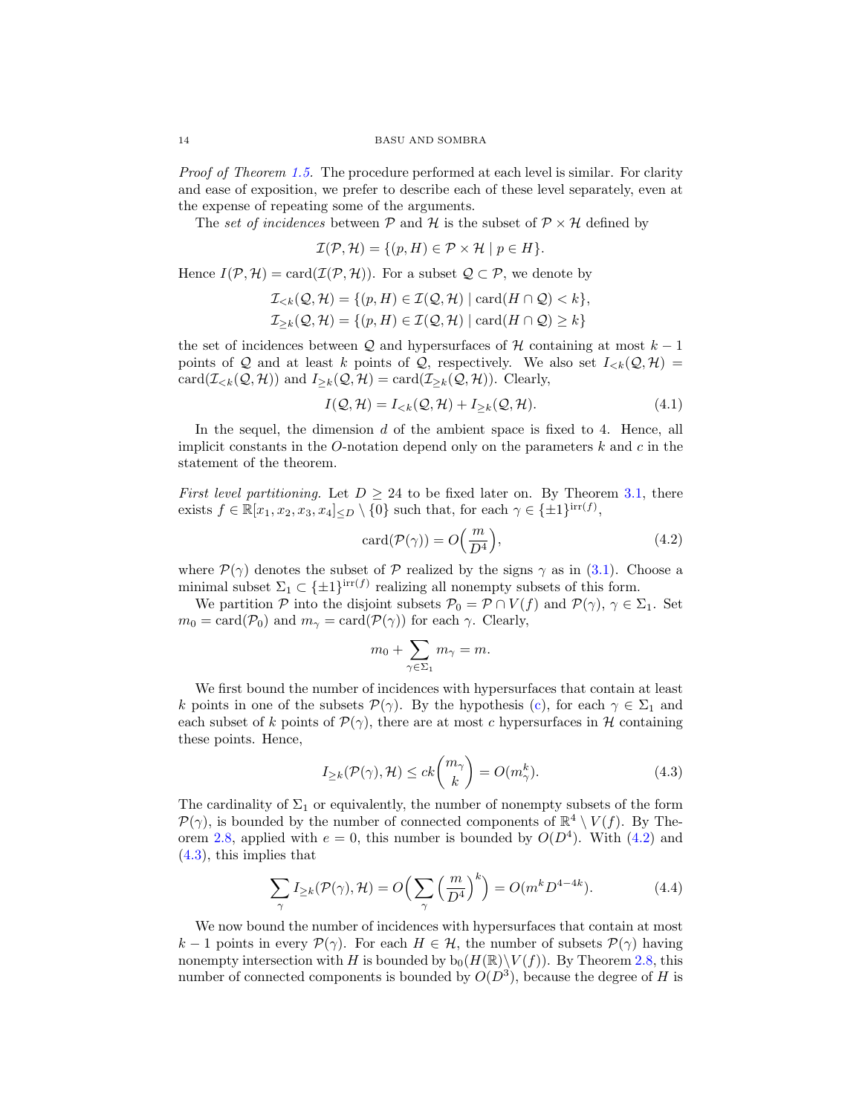Proof of Theorem [1.5.](#page-2-0) The procedure performed at each level is similar. For clarity and ease of exposition, we prefer to describe each of these level separately, even at the expense of repeating some of the arguments.

The set of incidences between  $P$  and  $H$  is the subset of  $P \times H$  defined by

$$
\mathcal{I}(\mathcal{P}, \mathcal{H}) = \{ (p, H) \in \mathcal{P} \times \mathcal{H} \mid p \in H \}.
$$

Hence  $I(\mathcal{P}, \mathcal{H}) = \text{card}(\mathcal{I}(\mathcal{P}, \mathcal{H}))$ . For a subset  $\mathcal{Q} \subset \mathcal{P}$ , we denote by

$$
\mathcal{I}_{< k}(\mathcal{Q}, \mathcal{H}) = \{ (p, H) \in \mathcal{I}(\mathcal{Q}, \mathcal{H}) \mid \text{card}(H \cap \mathcal{Q}) < k \},
$$
\n
$$
\mathcal{I}_{\geq k}(\mathcal{Q}, \mathcal{H}) = \{ (p, H) \in \mathcal{I}(\mathcal{Q}, \mathcal{H}) \mid \text{card}(H \cap \mathcal{Q}) \geq k \}
$$

the set of incidences between  $Q$  and hypersurfaces of  $H$  containing at most  $k-1$ points of Q and at least k points of Q, respectively. We also set  $I_{\leq k}(Q, \mathcal{H}) =$ card( $\mathcal{I}_{\leq k}(\mathcal{Q}, \mathcal{H})$ ) and  $I_{\geq k}(\mathcal{Q}, \mathcal{H}) = \text{card}(\mathcal{I}_{\geq k}(\mathcal{Q}, \mathcal{H}))$ . Clearly,

<span id="page-13-2"></span>
$$
I(Q, \mathcal{H}) = I_{< k}(Q, \mathcal{H}) + I_{\geq k}(Q, \mathcal{H}).\tag{4.1}
$$

In the sequel, the dimension  $d$  of the ambient space is fixed to 4. Hence, all implicit constants in the O-notation depend only on the parameters  $k$  and  $c$  in the statement of the theorem.

First level partitioning. Let  $D \geq 24$  to be fixed later on. By Theorem [3.1,](#page-10-0) there exists  $f \in \mathbb{R}[x_1, x_2, x_3, x_4] \le D \setminus \{0\}$  such that, for each  $\gamma \in \{\pm 1\}^{\text{irr}(f)}$ ,

<span id="page-13-0"></span>
$$
\operatorname{card}(\mathcal{P}(\gamma)) = O\left(\frac{m}{D^4}\right),\tag{4.2}
$$

where  $\mathcal{P}(\gamma)$  denotes the subset of  $\mathcal P$  realized by the signs  $\gamma$  as in [\(3.1\)](#page-9-2). Choose a minimal subset  $\Sigma_1 \subset {\{\pm 1\}}^{\text{irr}(f)}$  realizing all nonempty subsets of this form.

We partition P into the disjoint subsets  $P_0 = \mathcal{P} \cap V(f)$  and  $\mathcal{P}(\gamma)$ ,  $\gamma \in \Sigma_1$ . Set  $m_0 = \text{card}(\mathcal{P}_0)$  and  $m_\gamma = \text{card}(\mathcal{P}(\gamma))$  for each  $\gamma$ . Clearly,

$$
m_0 + \sum_{\gamma \in \Sigma_1} m_{\gamma} = m.
$$

We first bound the number of incidences with hypersurfaces that contain at least k points in one of the subsets  $\mathcal{P}(\gamma)$ . By the hypothesis [\(c\)](#page-2-1), for each  $\gamma \in \Sigma_1$  and each subset of k points of  $\mathcal{P}(\gamma)$ , there are at most c hypersurfaces in H containing these points. Hence,

<span id="page-13-1"></span>
$$
I_{\geq k}(\mathcal{P}(\gamma), \mathcal{H}) \leq ck \binom{m_{\gamma}}{k} = O(m_{\gamma}^k). \tag{4.3}
$$

The cardinality of  $\Sigma_1$  or equivalently, the number of nonempty subsets of the form  $\mathcal{P}(\gamma)$ , is bounded by the number of connected components of  $\mathbb{R}^4 \setminus V(f)$ . By The-orem [2.8,](#page-8-0) applied with  $e = 0$ , this number is bounded by  $O(D<sup>4</sup>)$ . With [\(4.2\)](#page-13-0) and [\(4.3\)](#page-13-1), this implies that

<span id="page-13-3"></span>
$$
\sum_{\gamma} I_{\geq k}(\mathcal{P}(\gamma), \mathcal{H}) = O\Big(\sum_{\gamma} \left(\frac{m}{D^4}\right)^k\Big) = O(m^k D^{4-4k}).\tag{4.4}
$$

We now bound the number of incidences with hypersurfaces that contain at most k − 1 points in every  $\mathcal{P}(\gamma)$ . For each  $H \in \mathcal{H}$ , the number of subsets  $\mathcal{P}(\gamma)$  having nonempty intersection with H is bounded by  $b_0(H(\mathbb{R})\setminus V(f))$ . By Theorem [2.8,](#page-8-0) this number of connected components is bounded by  $O(D^3)$ , because the degree of H is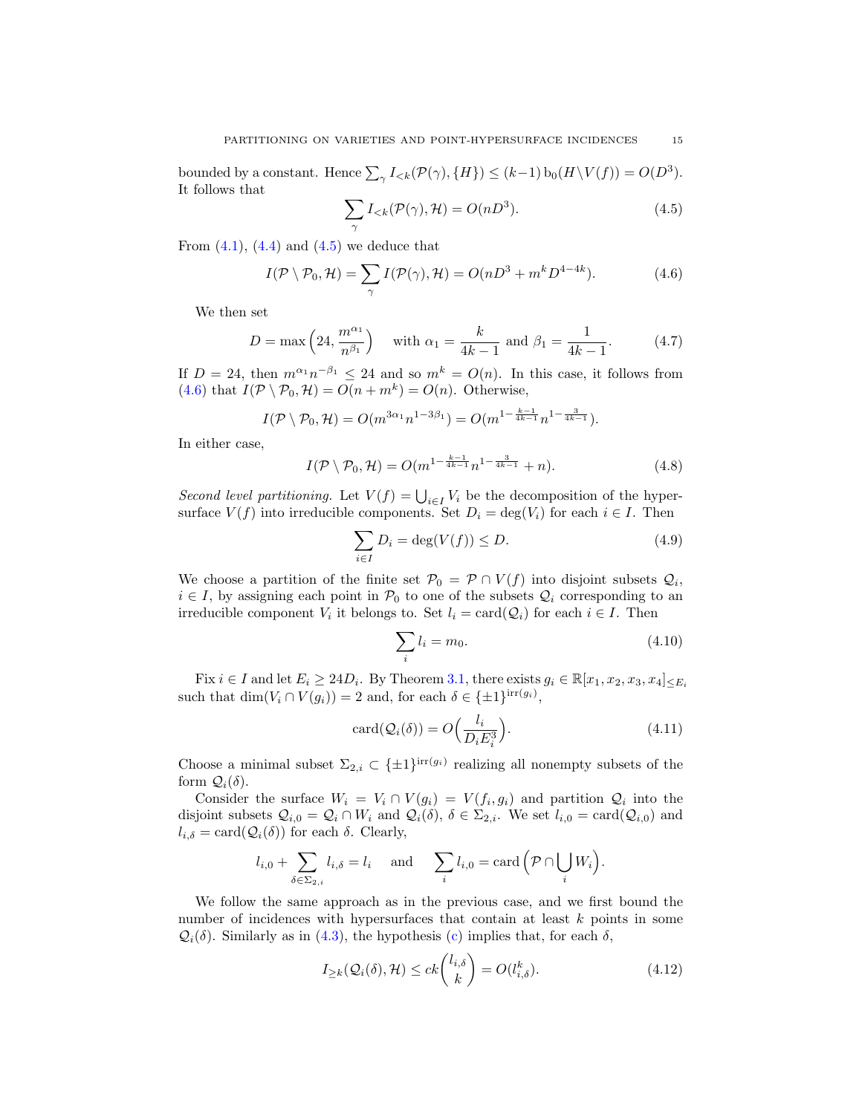bounded by a constant. Hence  $\sum_{\gamma} I_{< k}(\mathcal{P}(\gamma), \{H\}) \leq (k-1) b_0(H \setminus V(f)) = O(D^3)$ . It follows that

<span id="page-14-0"></span>
$$
\sum_{\gamma} I_{< k}(\mathcal{P}(\gamma), \mathcal{H}) = O(nD^3). \tag{4.5}
$$

From  $(4.1)$ ,  $(4.4)$  and  $(4.5)$  we deduce that

<span id="page-14-1"></span>
$$
I(\mathcal{P}\setminus\mathcal{P}_0,\mathcal{H})=\sum_{\gamma}I(\mathcal{P}(\gamma),\mathcal{H})=O(nD^3+m^kD^{4-4k}).\tag{4.6}
$$

We then set

<span id="page-14-7"></span>
$$
D = \max\left(24, \frac{m^{\alpha_1}}{n^{\beta_1}}\right) \quad \text{with } \alpha_1 = \frac{k}{4k - 1} \text{ and } \beta_1 = \frac{1}{4k - 1}.
$$
 (4.7)

If  $D = 24$ , then  $m^{\alpha_1} n^{-\beta_1} \leq 24$  and so  $m^k = O(n)$ . In this case, it follows from [\(4.6\)](#page-14-1) that  $I(\mathcal{P} \setminus \mathcal{P}_0, \mathcal{H}) = O(n + m^k) = O(n)$ . Otherwise,

$$
I(\mathcal{P}\setminus \mathcal{P}_0,\mathcal{H})=O(m^{3\alpha_1}n^{1-3\beta_1})=O(m^{1-\frac{k-1}{4k-1}}n^{1-\frac{3}{4k-1}}).
$$

In either case,

<span id="page-14-5"></span>
$$
I(\mathcal{P}\setminus\mathcal{P}_0,\mathcal{H})=O(m^{1-\frac{k-1}{4k-1}}n^{1-\frac{3}{4k-1}}+n).
$$
 (4.8)

Second level partitioning. Let  $V(f) = \bigcup_{i \in I} V_i$  be the decomposition of the hypersurface  $V(f)$  into irreducible components. Set  $D_i = \deg(V_i)$  for each  $i \in I$ . Then

<span id="page-14-4"></span>
$$
\sum_{i \in I} D_i = \deg(V(f)) \le D. \tag{4.9}
$$

We choose a partition of the finite set  $\mathcal{P}_0 = \mathcal{P} \cap V(f)$  into disjoint subsets  $\mathcal{Q}_i$ ,  $i \in I$ , by assigning each point in  $\mathcal{P}_0$  to one of the subsets  $\mathcal{Q}_i$  corresponding to an irreducible component  $V_i$  it belongs to. Set  $l_i = \text{card}(\mathcal{Q}_i)$  for each  $i \in I$ . Then

<span id="page-14-6"></span>
$$
\sum_{i} l_i = m_0. \tag{4.10}
$$

Fix  $i \in I$  and let  $E_i \geq 24D_i$ . By Theorem [3.1,](#page-10-0) there exists  $g_i \in \mathbb{R}[x_1, x_2, x_3, x_4] \leq E_i$ such that  $\dim(V_i \cap V(g_i)) = 2$  and, for each  $\delta \in {\pm 1}^{\text{irr}(g_i)}$ ,

<span id="page-14-2"></span>
$$
card(Q_i(\delta)) = O\left(\frac{l_i}{D_i E_i^3}\right).
$$
\n(4.11)

Choose a minimal subset  $\Sigma_{2,i} \subset {\{\pm 1\}}^{\text{irr}(g_i)}$  realizing all nonempty subsets of the form  $\mathcal{Q}_i(\delta)$ .

Consider the surface  $W_i = V_i \cap V(g_i) = V(f_i, g_i)$  and partition  $Q_i$  into the disjoint subsets  $Q_{i,0} = Q_i \cap W_i$  and  $Q_i(\delta)$ ,  $\delta \in \Sigma_{2,i}$ . We set  $l_{i,0} = \text{card}(Q_{i,0})$  and  $l_{i,\delta} = \text{card}(\mathcal{Q}_i(\delta))$  for each  $\delta$ . Clearly,

$$
l_{i,0} + \sum_{\delta \in \Sigma_{2,i}} l_{i,\delta} = l_i
$$
 and  $\sum_i l_{i,0} = \text{card} \left( \mathcal{P} \cap \bigcup_i W_i \right)$ .

We follow the same approach as in the previous case, and we first bound the number of incidences with hypersurfaces that contain at least k points in some  $\mathcal{Q}_i(\delta)$ . Similarly as in [\(4.3\)](#page-13-1), the hypothesis [\(c\)](#page-2-1) implies that, for each  $\delta$ ,

<span id="page-14-3"></span>
$$
I_{\geq k}(\mathcal{Q}_i(\delta), \mathcal{H}) \leq ck \binom{l_{i,\delta}}{k} = O(l_{i,\delta}^k). \tag{4.12}
$$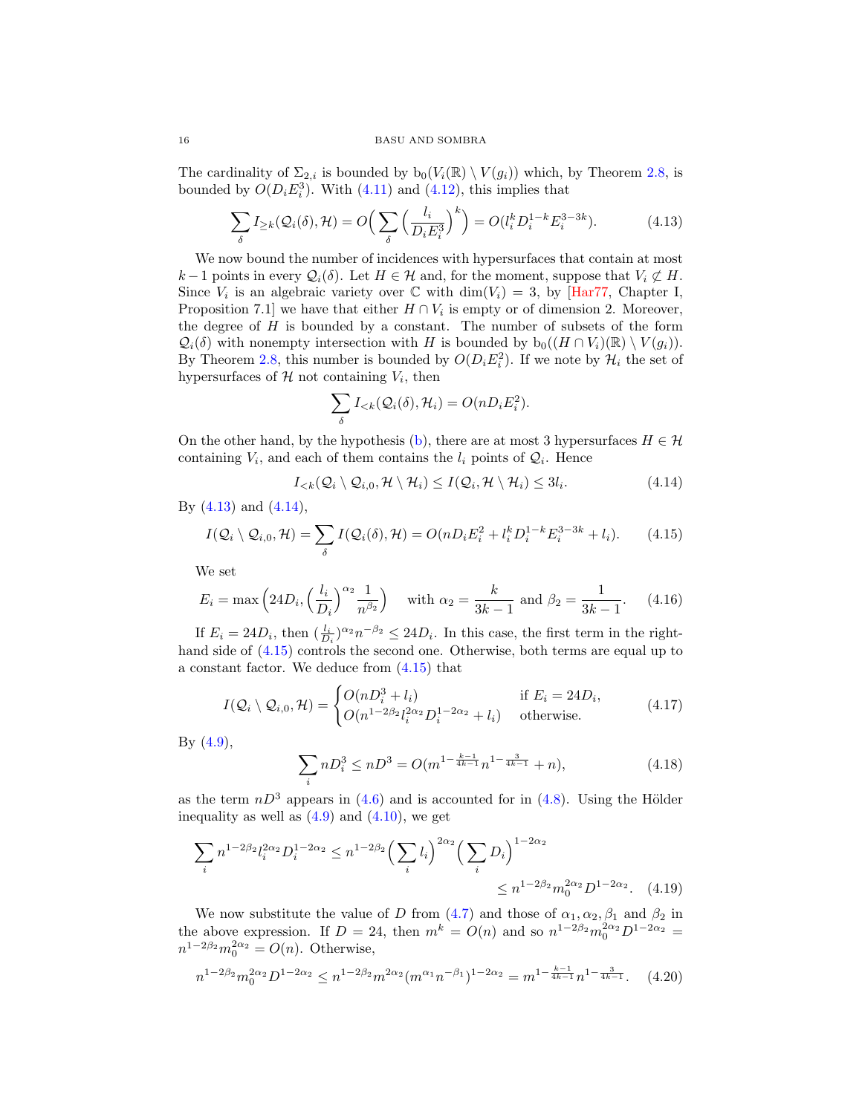#### <span id="page-15-8"></span>16 BASU AND SOMBRA

The cardinality of  $\Sigma_{2,i}$  is bounded by  $b_0(V_i(\mathbb{R}) \setminus V(g_i))$  which, by Theorem [2.8,](#page-8-0) is bounded by  $O(D_i E_i^3)$ . With [\(4.11\)](#page-14-2) and [\(4.12\)](#page-14-3), this implies that

<span id="page-15-0"></span>
$$
\sum_{\delta} I_{\geq k}(\mathcal{Q}_i(\delta), \mathcal{H}) = O\Big(\sum_{\delta} \Big(\frac{l_i}{D_i E_i^3}\Big)^k\Big) = O(l_i^k D_i^{1-k} E_i^{3-3k}).\tag{4.13}
$$

We now bound the number of incidences with hypersurfaces that contain at most  $k-1$  points in every  $\mathcal{Q}_i(\delta)$ . Let  $H \in \mathcal{H}$  and, for the moment, suppose that  $V_i \not\subset H$ . Since  $V_i$  is an algebraic variety over  $\mathbb C$  with  $\dim(V_i) = 3$ , by [\[Har77,](#page-21-18) Chapter I, Proposition 7.1] we have that either  $H \cap V_i$  is empty or of dimension 2. Moreover, the degree of  $H$  is bounded by a constant. The number of subsets of the form  $\mathcal{Q}_i(\delta)$  with nonempty intersection with H is bounded by  $b_0((H \cap V_i)(\mathbb{R}) \setminus V(q_i)).$ By Theorem [2.8,](#page-8-0) this number is bounded by  $O(D_i E_i^2)$ . If we note by  $\mathcal{H}_i$  the set of hypersurfaces of  $H$  not containing  $V_i$ , then

$$
\sum_{\delta} I_{< k}(\mathcal{Q}_i(\delta), \mathcal{H}_i) = O(nD_i E_i^2).
$$

On the other hand, by the hypothesis [\(b\)](#page-2-2), there are at most 3 hypersurfaces  $H \in \mathcal{H}$ containing  $V_i$ , and each of them contains the  $l_i$  points of  $\mathcal{Q}_i$ . Hence

<span id="page-15-1"></span>
$$
I_{< k}(\mathcal{Q}_i \setminus \mathcal{Q}_{i,0}, \mathcal{H} \setminus \mathcal{H}_i) \leq I(\mathcal{Q}_i, \mathcal{H} \setminus \mathcal{H}_i) \leq 3l_i. \tag{4.14}
$$

By [\(4.13\)](#page-15-0) and [\(4.14\)](#page-15-1),

<span id="page-15-2"></span>
$$
I(Q_i \setminus Q_{i,0}, \mathcal{H}) = \sum_{\delta} I(Q_i(\delta), \mathcal{H}) = O(nD_i E_i^2 + l_i^k D_i^{1-k} E_i^{3-3k} + l_i). \tag{4.15}
$$

We set

<span id="page-15-7"></span>
$$
E_i = \max\left(24D_i, \left(\frac{l_i}{D_i}\right)^{\alpha_2} \frac{1}{n^{\beta_2}}\right) \quad \text{with } \alpha_2 = \frac{k}{3k - 1} \text{ and } \beta_2 = \frac{1}{3k - 1}.\tag{4.16}
$$

If  $E_i = 24D_i$ , then  $(\frac{l_i}{D_i})^{\alpha_2} n^{-\beta_2} \leq 24D_i$ . In this case, the first term in the righthand side of  $(4.15)$  controls the second one. Otherwise, both terms are equal up to a constant factor. We deduce from [\(4.15\)](#page-15-2) that

<span id="page-15-3"></span>
$$
I(Q_i \setminus Q_{i,0}, \mathcal{H}) = \begin{cases} O(nD_i^3 + l_i) & \text{if } E_i = 24D_i, \\ O(n^{1-2\beta_2}l_i^{2\alpha_2}D_i^{1-2\alpha_2} + l_i) & \text{otherwise.} \end{cases}
$$
(4.17)

By [\(4.9\)](#page-14-4),

<span id="page-15-5"></span><span id="page-15-4"></span>
$$
\sum_{i} nD_i^3 \le nD^3 = O(m^{1 - \frac{k-1}{4k-1}} n^{1 - \frac{3}{4k-1}} + n),\tag{4.18}
$$

as the term  $nD^3$  appears in [\(4.6\)](#page-14-1) and is accounted for in [\(4.8\)](#page-14-5). Using the Hölder inequality as well as  $(4.9)$  and  $(4.10)$ , we get

$$
\sum_{i} n^{1-2\beta_2} l_i^{2\alpha_2} D_i^{1-2\alpha_2} \le n^{1-2\beta_2} \left(\sum_i l_i\right)^{2\alpha_2} \left(\sum_i D_i\right)^{1-2\alpha_2} \le n^{1-2\beta_2} m_0^{2\alpha_2} D^{1-2\alpha_2}.
$$
 (4.19)

We now substitute the value of D from  $(4.7)$  and those of  $\alpha_1, \alpha_2, \beta_1$  and  $\beta_2$  in the above expression. If  $D = 24$ , then  $m^k = O(n)$  and so  $n^{1-2\beta_2} m_0^{2\alpha_2} D^{1-2\alpha_2} =$  $n^{1-2\beta_2}m_0^{2\alpha_2}=O(n)$ . Otherwise,

<span id="page-15-6"></span>
$$
n^{1-2\beta_2} m_0^{2\alpha_2} D^{1-2\alpha_2} \le n^{1-2\beta_2} m^{2\alpha_2} (m^{\alpha_1} n^{-\beta_1})^{1-2\alpha_2} = m^{1-\frac{k-1}{4k-1}} n^{1-\frac{3}{4k-1}}.
$$
 (4.20)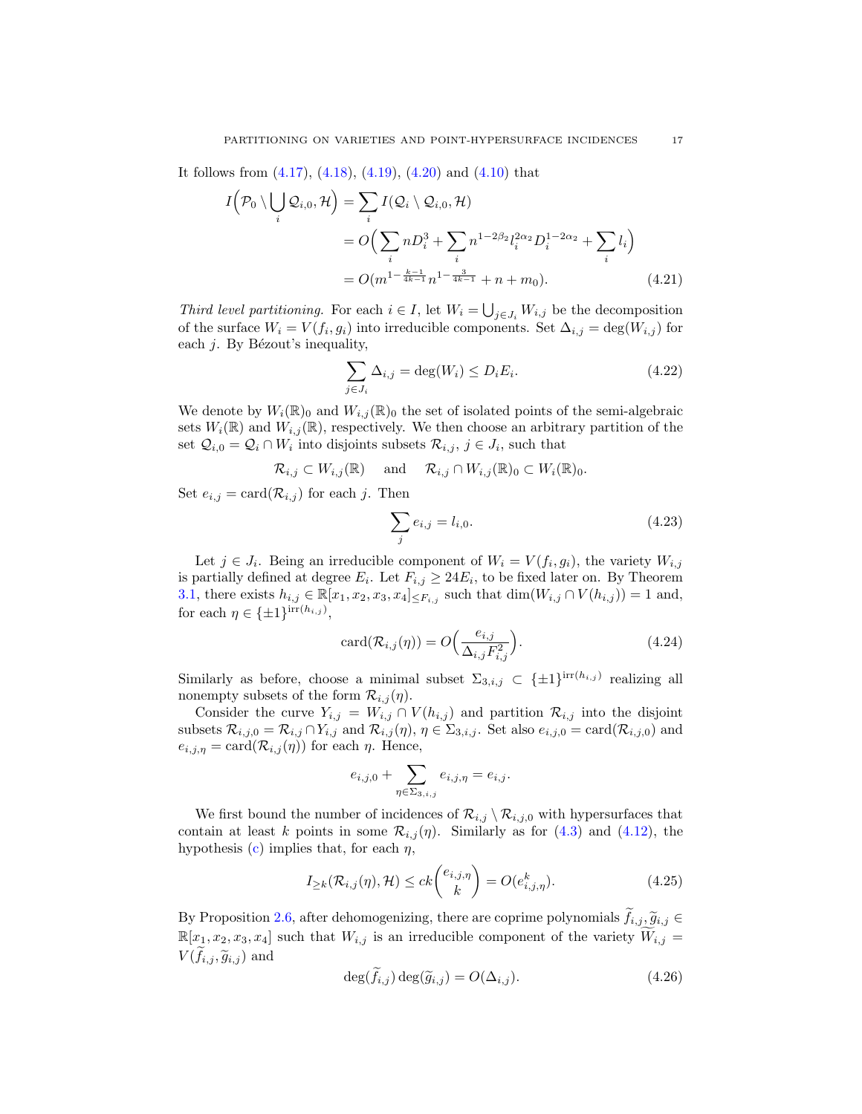It follows from [\(4.17\)](#page-15-3), [\(4.18\)](#page-15-4), [\(4.19\)](#page-15-5), [\(4.20\)](#page-15-6) and [\(4.10\)](#page-14-6) that

$$
I(P_0 \setminus \bigcup_i \mathcal{Q}_{i,0}, \mathcal{H}) = \sum_i I(\mathcal{Q}_i \setminus \mathcal{Q}_{i,0}, \mathcal{H})
$$
  
= 
$$
O\Big(\sum_i nD_i^3 + \sum_i n^{1-2\beta_2} l_i^{2\alpha_2} D_i^{1-2\alpha_2} + \sum_i l_i\Big)
$$
  
= 
$$
O(m^{1-\frac{k-1}{4k-1}} n^{1-\frac{3}{4k-1}} + n + m_0).
$$
 (4.21)

Third level partitioning. For each  $i \in I$ , let  $W_i = \bigcup_{j \in J_i} W_{i,j}$  be the decomposition of the surface  $W_i = V(f_i, g_i)$  into irreducible components. Set  $\Delta_{i,j} = \deg(W_{i,j})$  for each  $j$ . By Bézout's inequality,

<span id="page-16-4"></span><span id="page-16-3"></span>
$$
\sum_{j \in J_i} \Delta_{i,j} = \deg(W_i) \le D_i E_i.
$$
\n(4.22)

We denote by  $W_i(\mathbb{R})_0$  and  $W_{i,j}(\mathbb{R})_0$  the set of isolated points of the semi-algebraic sets  $W_i(\mathbb{R})$  and  $W_{i,j}(\mathbb{R})$ , respectively. We then choose an arbitrary partition of the set  $\mathcal{Q}_{i,0} = \mathcal{Q}_i \cap W_i$  into disjoints subsets  $\mathcal{R}_{i,j}, j \in J_i$ , such that

$$
\mathcal{R}_{i,j} \subset W_{i,j}(\mathbb{R})
$$
 and  $\mathcal{R}_{i,j} \cap W_{i,j}(\mathbb{R})_0 \subset W_i(\mathbb{R})_0$ .

Set  $e_{i,j} = \text{card}(\mathcal{R}_{i,j})$  for each j. Then

<span id="page-16-5"></span>
$$
\sum_{j} e_{i,j} = l_{i,0}.\tag{4.23}
$$

Let  $j \in J_i$ . Being an irreducible component of  $W_i = V(f_i, g_i)$ , the variety  $W_{i,j}$ is partially defined at degree  $E_i$ . Let  $F_{i,j} \geq 24E_i$ , to be fixed later on. By Theorem [3.1,](#page-10-0) there exists  $h_{i,j} \in \mathbb{R}[x_1, x_2, x_3, x_4] \leq F_{i,j}$  such that  $\dim(W_{i,j} \cap V(h_{i,j})) = 1$  and, for each  $\eta \in {\{\pm 1\}}^{\text{irr}(h_{i,j})}$ ,

<span id="page-16-1"></span>
$$
card(\mathcal{R}_{i,j}(\eta)) = O\left(\frac{e_{i,j}}{\Delta_{i,j} F_{i,j}^2}\right).
$$
\n(4.24)

Similarly as before, choose a minimal subset  $\Sigma_{3,i,j} \subset {\{\pm 1\}}^{\text{irr}(h_{i,j})}$  realizing all nonempty subsets of the form  $\mathcal{R}_{i,j}(\eta)$ .

Consider the curve  $Y_{i,j} = W_{i,j} \cap V(h_{i,j})$  and partition  $\mathcal{R}_{i,j}$  into the disjoint subsets  $\mathcal{R}_{i,j,0} = \mathcal{R}_{i,j} \cap Y_{i,j}$  and  $\mathcal{R}_{i,j}(\eta)$ ,  $\eta \in \Sigma_{3,i,j}$ . Set also  $e_{i,j,0} = \text{card}(\mathcal{R}_{i,j,0})$  and  $e_{i,j,\eta} = \text{card}(\mathcal{R}_{i,j}(\eta))$  for each  $\eta$ . Hence,

$$
e_{i,j,0}+\sum_{\eta\in \Sigma_{3,i,j}}e_{i,j,\eta}=e_{i,j}.
$$

We first bound the number of incidences of  $\mathcal{R}_{i,j} \setminus \mathcal{R}_{i,j,0}$  with hypersurfaces that contain at least k points in some  $\mathcal{R}_{i,j}(\eta)$ . Similarly as for [\(4.3\)](#page-13-1) and [\(4.12\)](#page-14-3), the hypothesis [\(c\)](#page-2-1) implies that, for each  $\eta$ ,

<span id="page-16-2"></span>
$$
I_{\geq k}(\mathcal{R}_{i,j}(\eta), \mathcal{H}) \leq ck \binom{e_{i,j,\eta}}{k} = O(e^k_{i,j,\eta}). \tag{4.25}
$$

By Proposition [2.6,](#page-6-2) after dehomogenizing, there are coprime polynomials  $f_{i,j}, \tilde{g}_{i,j} \in$  $\mathbb{R}[x_1, x_2, x_3, x_4]$  such that  $W_{i,j}$  is an irreducible component of the variety  $\widetilde{W}_{i,j} =$  $V(\widetilde{f}_{i,j}, \widetilde{g}_{i,j})$  and

<span id="page-16-0"></span>
$$
\deg(\widetilde{f}_{i,j})\deg(\widetilde{g}_{i,j}) = O(\Delta_{i,j}).\tag{4.26}
$$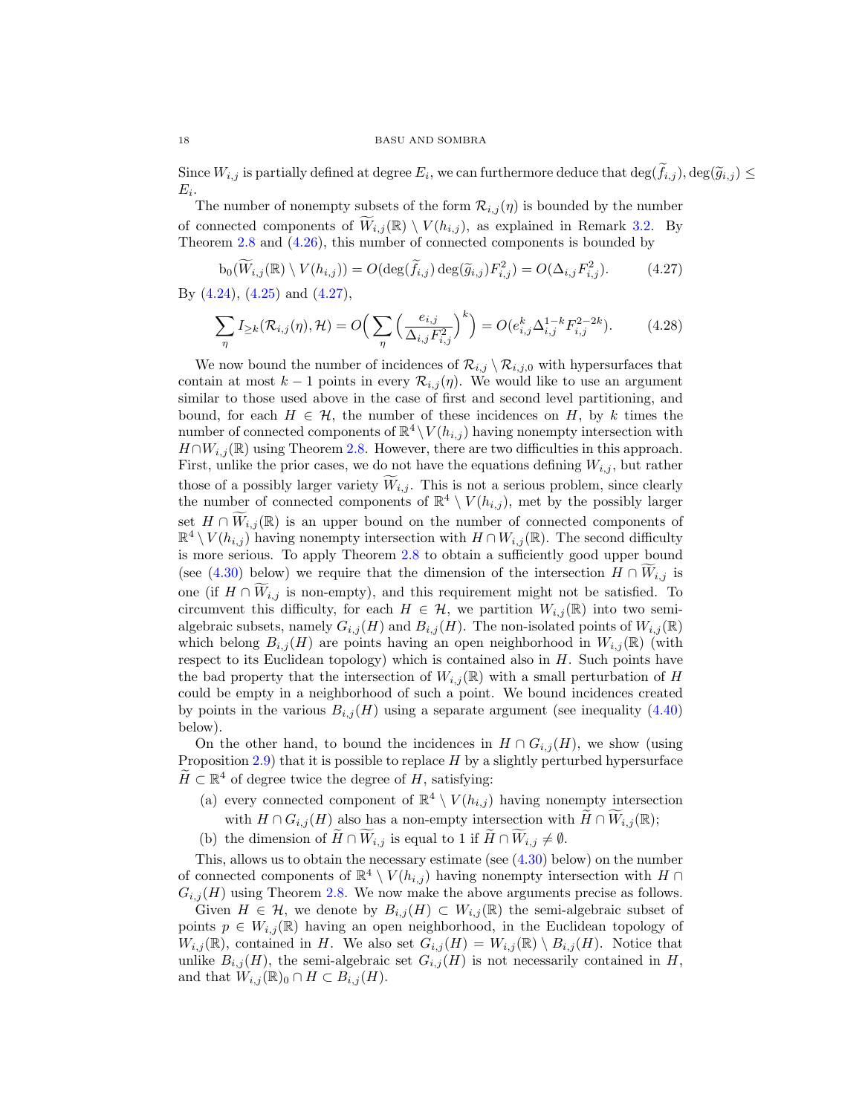Since  $W_{i,j}$  is partially defined at degree  $E_i$ , we can furthermore deduce that  $\deg(f_{i,j})$ ,  $\deg(\widetilde{g}_{i,j}) \leq$  $E_i$ .

The number of nonempty subsets of the form  $\mathcal{R}_{i,j}(\eta)$  is bounded by the number of connected components of  $W_{i,j}(\mathbb{R}) \setminus V(h_{i,j})$ , as explained in Remark [3.2.](#page-10-6) By Theorem [2.8](#page-8-0) and [\(4.26\)](#page-16-0), this number of connected components is bounded by

<span id="page-17-0"></span>
$$
b_0(\widetilde{W}_{i,j}(\mathbb{R}) \setminus V(h_{i,j})) = O(\deg(\widetilde{f}_{i,j}) \deg(\widetilde{g}_{i,j}) F_{i,j}^2) = O(\Delta_{i,j} F_{i,j}^2). \tag{4.27}
$$

By [\(4.24\)](#page-16-1), [\(4.25\)](#page-16-2) and [\(4.27\)](#page-17-0),

<span id="page-17-1"></span>
$$
\sum_{\eta} I_{\geq k}(\mathcal{R}_{i,j}(\eta), \mathcal{H}) = O\Big(\sum_{\eta} \Big(\frac{e_{i,j}}{\Delta_{i,j} F_{i,j}^2}\Big)^k\Big) = O(e_{i,j}^k \Delta_{i,j}^{1-k} F_{i,j}^{2-2k}).\tag{4.28}
$$

We now bound the number of incidences of  $\mathcal{R}_{i,j} \setminus \mathcal{R}_{i,j,0}$  with hypersurfaces that contain at most  $k-1$  points in every  $\mathcal{R}_{i,j}(\eta)$ . We would like to use an argument similar to those used above in the case of first and second level partitioning, and bound, for each  $H \in \mathcal{H}$ , the number of these incidences on H, by k times the number of connected components of  $\mathbb{R}^4 \setminus V(h_{i,j})$  having nonempty intersection with  $H \cap W_{i,j}(\mathbb{R})$  using Theorem [2.8.](#page-8-0) However, there are two difficulties in this approach. First, unlike the prior cases, we do not have the equations defining  $W_{i,j}$ , but rather those of a possibly larger variety  $W_{i,j}$ . This is not a serious problem, since clearly the number of connected components of  $\mathbb{R}^4 \setminus V(h_{i,j})$ , met by the possibly larger set  $H \cap W_{i,j}(\mathbb{R})$  is an upper bound on the number of connected components of  $\mathbb{R}^4 \setminus V(h_{i,j})$  having nonempty intersection with  $H \cap W_{i,j}(\mathbb{R})$ . The second difficulty is more serious. To apply Theorem [2.8](#page-8-0) to obtain a sufficiently good upper bound (see [\(4.30\)](#page-18-0) below) we require that the dimension of the intersection  $H \cap W_{i,j}$  is one (if  $H \cap W_{i,j}$  is non-empty), and this requirement might not be satisfied. To circumvent this difficulty, for each  $H \in \mathcal{H}$ , we partition  $W_{i,j}(\mathbb{R})$  into two semialgebraic subsets, namely  $G_{i,j}(H)$  and  $B_{i,j}(H)$ . The non-isolated points of  $W_{i,j}(\mathbb{R})$ which belong  $B_{i,j}(H)$  are points having an open neighborhood in  $W_{i,j}(\mathbb{R})$  (with respect to its Euclidean topology) which is contained also in  $H$ . Such points have the bad property that the intersection of  $W_{i,j}(\mathbb{R})$  with a small perturbation of H could be empty in a neighborhood of such a point. We bound incidences created by points in the various  $B_{i,j}(H)$  using a separate argument (see inequality [\(4.40\)](#page-19-0) below).

On the other hand, to bound the incidences in  $H \cap G_{i,j}(H)$ , we show (using Proposition  $2.9$ ) that it is possible to replace H by a slightly perturbed hypersurface  $\widetilde{H} \subset \mathbb{R}^4$  of degree twice the degree of  $H$ , satisfying:

- (a) every connected component of  $\mathbb{R}^4 \setminus V(h_{i,j})$  having nonempty intersection with  $H \cap G_{i,j}(H)$  also has a non-empty intersection with  $\widetilde{H} \cap \widetilde{W}_{i,j}(\mathbb{R});$
- (b) the dimension of  $\widetilde{H} \cap \widetilde{W}_{i,j}$  is equal to 1 if  $\widetilde{H} \cap \widetilde{W}_{i,j} \neq \emptyset$ .

This, allows us to obtain the necessary estimate (see  $(4.30)$  below) on the number of connected components of  $\mathbb{R}^4 \setminus V(h_{i,j})$  having nonempty intersection with  $H \cap$  $G_{i,j}(H)$  using Theorem [2.8.](#page-8-0) We now make the above arguments precise as follows.

Given  $H \in \mathcal{H}$ , we denote by  $B_{i,j}(H) \subset W_{i,j}(\mathbb{R})$  the semi-algebraic subset of points  $p \in W_{i,j}(\mathbb{R})$  having an open neighborhood, in the Euclidean topology of  $W_{i,j}(\mathbb{R})$ , contained in H. We also set  $G_{i,j}(H) = W_{i,j}(\mathbb{R}) \setminus B_{i,j}(H)$ . Notice that unlike  $B_{i,j}(H)$ , the semi-algebraic set  $G_{i,j}(H)$  is not necessarily contained in H, and that  $W_{i,j}(\mathbb{R})_0 \cap H \subset B_{i,j}(H)$ .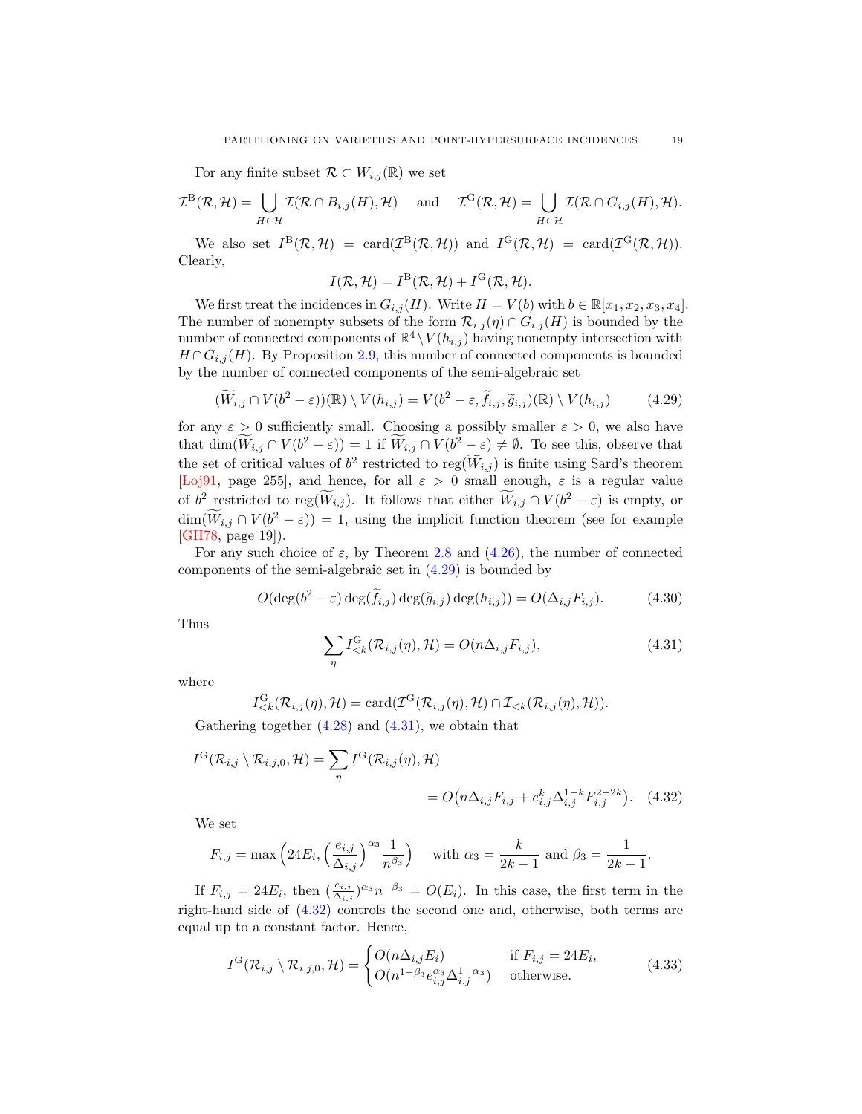<span id="page-18-5"></span>For any finite subset  $\mathcal{R} \subset W_{i,j}(\mathbb{R})$  we set

$$
\mathcal{I}^{\mathcal{B}}(\mathcal{R},\mathcal{H})=\bigcup_{H\in\mathcal{H}}\mathcal{I}(\mathcal{R}\cap B_{i,j}(H),\mathcal{H})\quad\text{ and }\quad\mathcal{I}^{\mathcal{G}}(\mathcal{R},\mathcal{H})=\bigcup_{H\in\mathcal{H}}\mathcal{I}(\mathcal{R}\cap G_{i,j}(H),\mathcal{H}).
$$

We also set  $I^{\text{B}}(\mathcal{R},\mathcal{H}) = \text{card}(\mathcal{I}^{\text{B}}(\mathcal{R},\mathcal{H}))$  and  $I^{\text{G}}(\mathcal{R},\mathcal{H}) = \text{card}(\mathcal{I}^{\text{G}}(\mathcal{R},\mathcal{H}))$ . Clearly,

$$
I(\mathcal{R}, \mathcal{H}) = I^{\text{B}}(\mathcal{R}, \mathcal{H}) + I^{\text{G}}(\mathcal{R}, \mathcal{H}).
$$

We first treat the incidences in  $G_{i,j}(H)$ . Write  $H = V(b)$  with  $b \in \mathbb{R}[x_1, x_2, x_3, x_4]$ . The number of nonempty subsets of the form  $\mathcal{R}_{i,j}(\eta) \cap G_{i,j}(H)$  is bounded by the number of connected components of  $\mathbb{R}^4 \setminus V(h_{i,j})$  having nonempty intersection with  $H \cap G_{i,j}(H)$ . By Proposition [2.9,](#page-8-1) this number of connected components is bounded by the number of connected components of the semi-algebraic set

<span id="page-18-1"></span>
$$
(\widetilde{W}_{i,j} \cap V(b^2 - \varepsilon))(\mathbb{R}) \setminus V(h_{i,j}) = V(b^2 - \varepsilon, \widetilde{f}_{i,j}, \widetilde{g}_{i,j})(\mathbb{R}) \setminus V(h_{i,j})
$$
(4.29)

for any  $\varepsilon > 0$  sufficiently small. Choosing a possibly smaller  $\varepsilon > 0$ , we also have that  $\dim(\widetilde{W}_{i,j} \cap V(b^2 - \varepsilon)) = 1$  if  $\widetilde{W}_{i,j} \cap V(b^2 - \varepsilon) \neq \emptyset$ . To see this, observe that the set of critical values of  $b^2$  restricted to reg( $\widetilde{W}_{i,j}$ ) is finite using Sard's theorem [Loj91, page 255], and hence, for all  $\varepsilon > 0$  small enough,  $\varepsilon$  is a regular value of  $b^2$  restricted to reg( $\widetilde{W}_{i,j}$ ). It follows that either  $\widetilde{W}_{i,j} \cap V(b^2 - \varepsilon)$  is empty, or  $\dim(W_{i,j} \cap V(b^2 - \varepsilon)) = 1$ , using the implicit function theorem (see for example [\[GH78,](#page-21-20) page 19]).

For any such choice of  $\varepsilon$ , by Theorem [2.8](#page-8-0) and [\(4.26\)](#page-16-0), the number of connected components of the semi-algebraic set in [\(4.29\)](#page-18-1) is bounded by

<span id="page-18-0"></span>
$$
O(\deg(b^2 - \varepsilon) \deg(\widetilde{f}_{i,j}) \deg(\widetilde{g}_{i,j}) \deg(h_{i,j})) = O(\Delta_{i,j} F_{i,j}).
$$
 (4.30)

Thus

<span id="page-18-3"></span><span id="page-18-2"></span>
$$
\sum_{\eta} I_{\leq k}^{\mathcal{G}}(\mathcal{R}_{i,j}(\eta), \mathcal{H}) = O(n\Delta_{i,j}F_{i,j}),
$$
\n(4.31)

where

$$
I_{\leq k}^{\mathrm{G}}(\mathcal{R}_{i,j}(\eta),\mathcal{H})=\mathrm{card}(\mathcal{I}^{\mathrm{G}}(\mathcal{R}_{i,j}(\eta),\mathcal{H})\cap\mathcal{I}_{\leq k}(\mathcal{R}_{i,j}(\eta),\mathcal{H})).
$$

Gathering together  $(4.28)$  and  $(4.31)$ , we obtain that

$$
I^{\mathcal{G}}(\mathcal{R}_{i,j} \setminus \mathcal{R}_{i,j,0}, \mathcal{H}) = \sum_{\eta} I^{\mathcal{G}}(\mathcal{R}_{i,j}(\eta), \mathcal{H})
$$
  
= 
$$
O(n\Delta_{i,j}F_{i,j} + e_{i,j}^{k}\Delta_{i,j}^{1-k}F_{i,j}^{2-2k}). \quad (4.32)
$$

We set

$$
F_{i,j} = \max\left(24E_i, \left(\frac{e_{i,j}}{\Delta_{i,j}}\right)^{\alpha_3} \frac{1}{n^{\beta_3}}\right) \quad \text{with } \alpha_3 = \frac{k}{2k-1} \text{ and } \beta_3 = \frac{1}{2k-1}.
$$

If  $F_{i,j} = 24E_i$ , then  $(\frac{e_{i,j}}{\Delta_{i,j}})^{\alpha_3} n^{-\beta_3} = O(E_i)$ . In this case, the first term in the right-hand side of [\(4.32\)](#page-18-3) controls the second one and, otherwise, both terms are equal up to a constant factor. Hence,

<span id="page-18-4"></span>
$$
I^{\mathcal{G}}(\mathcal{R}_{i,j}\setminus\mathcal{R}_{i,j,0},\mathcal{H})=\begin{cases}O(n\Delta_{i,j}E_i) & \text{if }F_{i,j}=24E_i,\\O(n^{1-\beta_3}e_{i,j}^{\alpha_3}\Delta_{i,j}^{1-\alpha_3}) & \text{otherwise.}\end{cases}
$$
(4.33)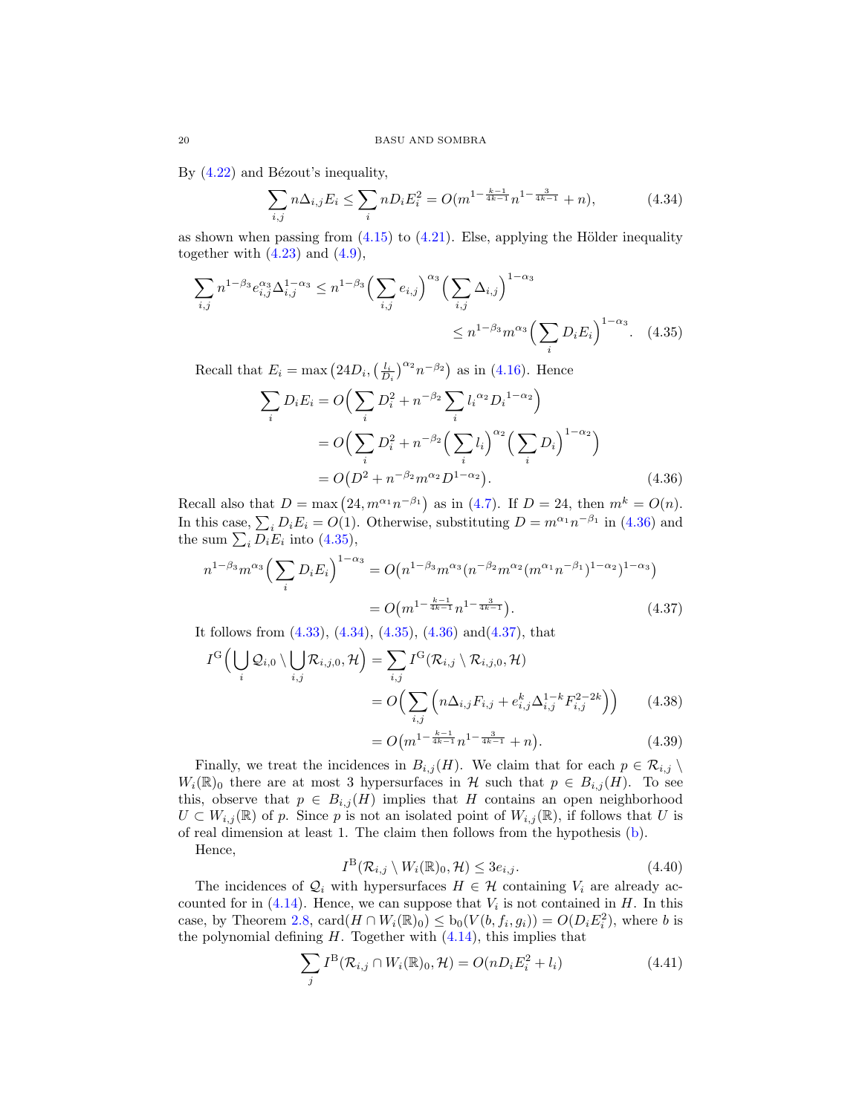By  $(4.22)$  and Bézout's inequality,

<span id="page-19-3"></span>
$$
\sum_{i,j} n \Delta_{i,j} E_i \le \sum_i n D_i E_i^2 = O(m^{1 - \frac{k-1}{4k-1}} n^{1 - \frac{3}{4k-1}} + n), \tag{4.34}
$$

as shown when passing from  $(4.15)$  to  $(4.21)$ . Else, applying the Hölder inequality together with  $(4.23)$  and  $(4.9)$ ,

$$
\sum_{i,j} n^{1-\beta_3} e_{i,j}^{\alpha_3} \Delta_{i,j}^{1-\alpha_3} \le n^{1-\beta_3} \Big( \sum_{i,j} e_{i,j} \Big)^{\alpha_3} \Big( \sum_{i,j} \Delta_{i,j} \Big)^{1-\alpha_3} \le n^{1-\beta_3} m^{\alpha_3} \Big( \sum_i D_i E_i \Big)^{1-\alpha_3}.
$$
 (4.35)

Recall that  $E_i = \max (24D_i, \left(\frac{l_i}{D_i}\right)^{\alpha_2} n^{-\beta_2})$  as in [\(4.16\)](#page-15-7). Hence

<span id="page-19-2"></span>
$$
\sum_{i} D_{i} E_{i} = O\Big(\sum_{i} D_{i}^{2} + n^{-\beta_{2}} \sum_{i} l_{i}^{\alpha_{2}} D_{i}^{1-\alpha_{2}}\Big)
$$
  
=  $O\Big(\sum_{i} D_{i}^{2} + n^{-\beta_{2}} \Big(\sum_{i} l_{i}\Big)^{\alpha_{2}} \Big(\sum_{i} D_{i}\Big)^{1-\alpha_{2}}\Big)$   
=  $O(D^{2} + n^{-\beta_{2}} m^{\alpha_{2}} D^{1-\alpha_{2}}).$  (4.36)

Recall also that  $D = \max (24, m^{\alpha_1} n^{-\beta_1})$  as in [\(4.7\)](#page-14-7). If  $D = 24$ , then  $m^k = O(n)$ . In this case,  $\sum_i D_i E_i = O(1)$ . Otherwise, substituting  $D = m^{\alpha_1} n^{-\beta_1}$  in [\(4.36\)](#page-19-1) and the sum  $\sum_i D_i E_i$  into [\(4.35\)](#page-19-2),

$$
n^{1-\beta_3} m^{\alpha_3} \Big( \sum_i D_i E_i \Big)^{1-\alpha_3} = O\big( n^{1-\beta_3} m^{\alpha_3} (n^{-\beta_2} m^{\alpha_2} (m^{\alpha_1} n^{-\beta_1})^{1-\alpha_2})^{1-\alpha_3} \big)
$$
  
=  $O\big( m^{1-\frac{k-1}{4k-1}} n^{1-\frac{3}{4k-1}} \big).$  (4.37)

It follows from  $(4.33)$ ,  $(4.34)$ ,  $(4.35)$ ,  $(4.36)$  and $(4.37)$ , that

$$
I^{G}\Big(\bigcup_{i}\mathcal{Q}_{i,0}\setminus\bigcup_{i,j}\mathcal{R}_{i,j,0},\mathcal{H}\Big)=\sum_{i,j}I^{G}(\mathcal{R}_{i,j}\setminus\mathcal{R}_{i,j,0},\mathcal{H})
$$

$$
=O\Big(\sum_{i,j}\left(n\Delta_{i,j}F_{i,j}+e_{i,j}^{k}\Delta_{i,j}^{1-k}F_{i,j}^{2-2k}\right)\Big) \qquad(4.38)
$$

<span id="page-19-7"></span><span id="page-19-6"></span><span id="page-19-4"></span><span id="page-19-1"></span>
$$
=O\big(m^{1-\frac{k-1}{4k-1}}n^{1-\frac{3}{4k-1}}+n\big).
$$
 (4.39)

Finally, we treat the incidences in  $B_{i,j}(H)$ . We claim that for each  $p \in \mathcal{R}_{i,j} \setminus \mathcal{R}_{i,j}$  $W_i(\mathbb{R})_0$  there are at most 3 hypersurfaces in H such that  $p \in B_{i,j}(H)$ . To see this, observe that  $p \in B_{i,j}(H)$  implies that H contains an open neighborhood  $U \subset W_{i,j}(\mathbb{R})$  of p. Since p is not an isolated point of  $W_{i,j}(\mathbb{R})$ , if follows that U is of real dimension at least 1. The claim then follows from the hypothesis [\(b\)](#page-2-2). Hence,

<span id="page-19-0"></span>
$$
I^{\mathcal{B}}(\mathcal{R}_{i,j}\setminus W_i(\mathbb{R})_0,\mathcal{H})\leq 3e_{i,j}.\tag{4.40}
$$

The incidences of  $\mathcal{Q}_i$  with hypersurfaces  $H \in \mathcal{H}$  containing  $V_i$  are already accounted for in  $(4.14)$ . Hence, we can suppose that  $V_i$  is not contained in H. In this case, by Theorem [2.8,](#page-8-0)  $\text{card}(H \cap W_i(\mathbb{R})_0) \leq b_0(V(b, f_i, g_i)) = O(D_i E_i^2)$ , where b is the polynomial defining  $H$ . Together with  $(4.14)$ , this implies that

<span id="page-19-5"></span>
$$
\sum_{j} I^{B}(\mathcal{R}_{i,j} \cap W_{i}(\mathbb{R})_{0}, \mathcal{H}) = O(n D_{i} E_{i}^{2} + l_{i})
$$
\n(4.41)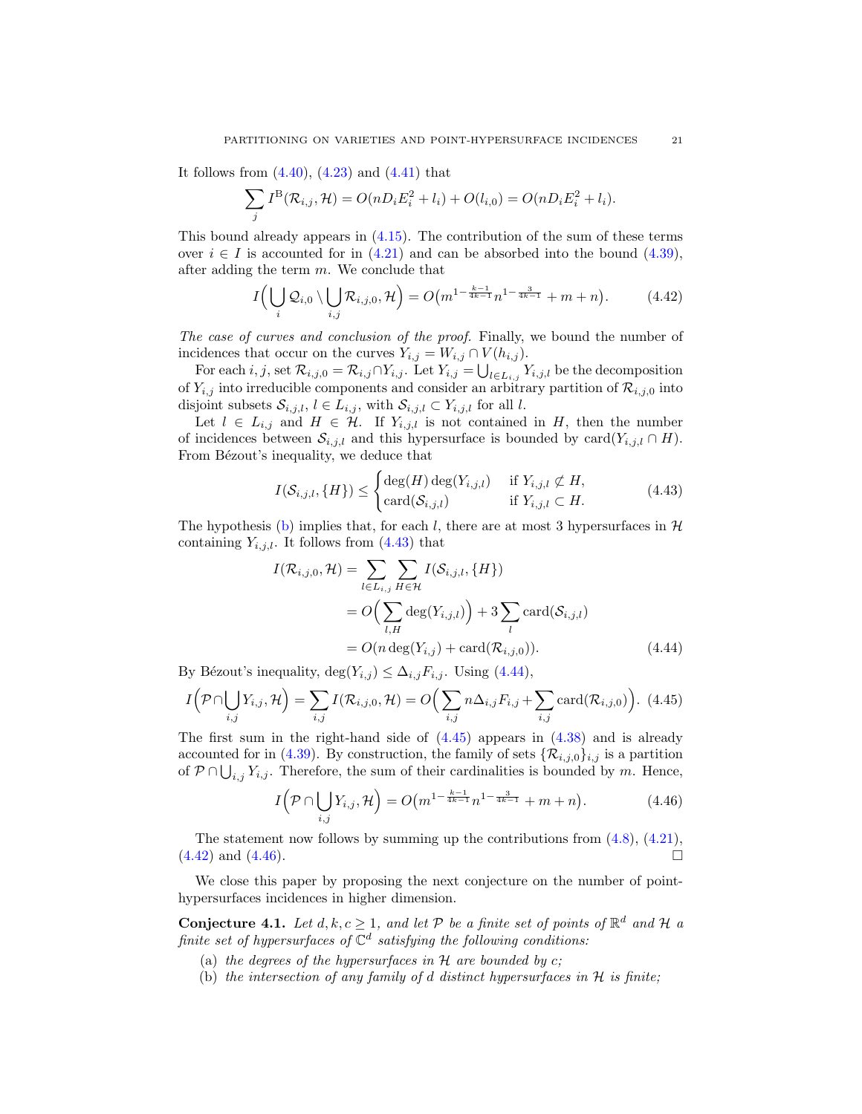It follows from  $(4.40)$ ,  $(4.23)$  and  $(4.41)$  that

$$
\sum_{j} I^{B}(\mathcal{R}_{i,j}, \mathcal{H}) = O(nD_{i}E_{i}^{2} + l_{i}) + O(l_{i,0}) = O(nD_{i}E_{i}^{2} + l_{i}).
$$

This bound already appears in  $(4.15)$ . The contribution of the sum of these terms over  $i \in I$  is accounted for in [\(4.21\)](#page-16-4) and can be absorbed into the bound [\(4.39\)](#page-19-6), after adding the term m. We conclude that

<span id="page-20-4"></span>
$$
I\left(\bigcup_{i} Q_{i,0} \setminus \bigcup_{i,j} \mathcal{R}_{i,j,0}, \mathcal{H}\right) = O\left(m^{1-\frac{k-1}{4k-1}} n^{1-\frac{3}{4k-1}} + m + n\right). \tag{4.42}
$$

The case of curves and conclusion of the proof. Finally, we bound the number of incidences that occur on the curves  $Y_{i,j} = W_{i,j} \cap V(h_{i,j}).$ 

For each  $i, j$ , set  $\mathcal{R}_{i,j,0} = \mathcal{R}_{i,j} \cap Y_{i,j}$ . Let  $Y_{i,j} = \bigcup_{l \in L_{i,j}} Y_{i,j,l}$  be the decomposition of  $Y_{i,j}$  into irreducible components and consider an arbitrary partition of  $\mathcal{R}_{i,j,0}$  into disjoint subsets  $\mathcal{S}_{i,j,l}$ ,  $l \in L_{i,j}$ , with  $\mathcal{S}_{i,j,l} \subset Y_{i,j,l}$  for all l.

Let  $l \in L_{i,j}$  and  $H \in \mathcal{H}$ . If  $Y_{i,j,l}$  is not contained in H, then the number of incidences between  $\mathcal{S}_{i,j,l}$  and this hypersurface is bounded by  $\text{card}(Y_{i,j,l} \cap H)$ . From Bézout's inequality, we deduce that

<span id="page-20-1"></span>
$$
I(\mathcal{S}_{i,j,l}, \{H\}) \leq \begin{cases} \deg(H) \deg(Y_{i,j,l}) & \text{if } Y_{i,j,l} \not\subset H, \\ \text{card}(\mathcal{S}_{i,j,l}) & \text{if } Y_{i,j,l} \subset H. \end{cases}
$$
(4.43)

The hypothesis [\(b\)](#page-2-2) implies that, for each l, there are at most 3 hypersurfaces in  $\mathcal{H}$ containing  $Y_{i,j,l}$ . It follows from  $(4.43)$  that

<span id="page-20-2"></span>
$$
I(\mathcal{R}_{i,j,0}, \mathcal{H}) = \sum_{l \in L_{i,j}} \sum_{H \in \mathcal{H}} I(\mathcal{S}_{i,j,l}, \{H\})
$$
  
=  $O\left(\sum_{l,H} \deg(Y_{i,j,l})\right) + 3 \sum_{l} \text{card}(\mathcal{S}_{i,j,l})$   
=  $O(n \deg(Y_{i,j}) + \text{card}(\mathcal{R}_{i,j,0})).$  (4.44)

By Bézout's inequality,  $\deg(Y_{i,j}) \leq \Delta_{i,j}F_{i,j}$ . Using [\(4.44\)](#page-20-2),

<span id="page-20-3"></span>
$$
I\left(\mathcal{P}\cap\bigcup_{i,j}Y_{i,j},\mathcal{H}\right)=\sum_{i,j}I(\mathcal{R}_{i,j,0},\mathcal{H})=O\Big(\sum_{i,j}n\Delta_{i,j}F_{i,j}+\sum_{i,j}\text{card}(\mathcal{R}_{i,j,0})\Big).
$$
 (4.45)

The first sum in the right-hand side of  $(4.45)$  appears in  $(4.38)$  and is already accounted for in [\(4.39\)](#page-19-6). By construction, the family of sets  $\{\mathcal{R}_{i,j,0}\}_{i,j}$  is a partition of  $P \cap \bigcup_{i,j} Y_{i,j}$ . Therefore, the sum of their cardinalities is bounded by m. Hence,

<span id="page-20-5"></span>
$$
I\left(\mathcal{P}\cap\bigcup_{i,j}Y_{i,j},\mathcal{H}\right) = O\left(m^{1-\frac{k-1}{4k-1}}n^{1-\frac{3}{4k-1}} + m + n\right).
$$
 (4.46)

The statement now follows by summing up the contributions from  $(4.8)$ ,  $(4.21)$ ,  $(4.42)$  and  $(4.46)$ .

We close this paper by proposing the next conjecture on the number of pointhypersurfaces incidences in higher dimension.

<span id="page-20-0"></span>**Conjecture 4.1.** Let  $d, k, c \geq 1$ , and let P be a finite set of points of  $\mathbb{R}^d$  and H a finite set of hypersurfaces of  $\mathbb{C}^d$  satisfying the following conditions:

- (a) the degrees of the hypersurfaces in  $H$  are bounded by  $c$ ;
- (b) the intersection of any family of d distinct hypersurfaces in  $H$  is finite;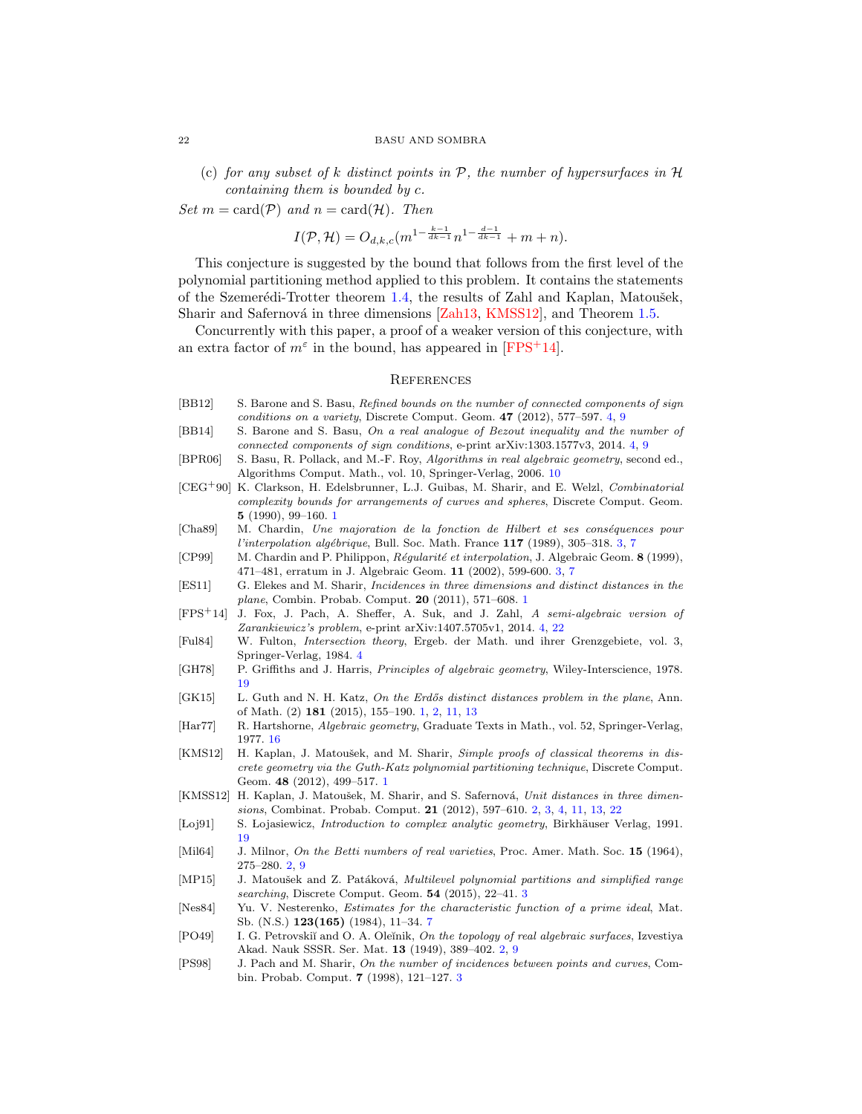<span id="page-21-21"></span>(c) for any subset of k distinct points in  $P$ , the number of hypersurfaces in  $H$ containing them is bounded by c.

Set  $m = \text{card}(\mathcal{P})$  and  $n = \text{card}(\mathcal{H})$ . Then

$$
I(\mathcal{P}, \mathcal{H}) = O_{d,k,c}(m^{1-\frac{k-1}{dk-1}}n^{1-\frac{d-1}{dk-1}} + m + n).
$$

This conjecture is suggested by the bound that follows from the first level of the polynomial partitioning method applied to this problem. It contains the statements of the Szemerédi-Trotter theorem [1.4,](#page-2-3) the results of Zahl and Kaplan, Matoušek, Sharir and Safernová in three dimensions  $[Zah13, KMSS12]$  $[Zah13, KMSS12]$  $[Zah13, KMSS12]$ , and Theorem [1.5.](#page-2-0)

Concurrently with this paper, a proof of a weaker version of this conjecture, with an extra factor of  $m^{\epsilon}$  in the bound, has appeared in [\[FPS](#page-21-14)+14].

### <span id="page-21-0"></span>**REFERENCES**

- <span id="page-21-12"></span>[BB12] S. Barone and S. Basu, Refined bounds on the number of connected components of sign conditions on a variety, Discrete Comput. Geom. 47 (2012), 577–597. [4,](#page-3-1) [9](#page-8-2)
- <span id="page-21-13"></span>[BB14] S. Barone and S. Basu, On a real analogue of Bezout inequality and the number of connected components of sign conditions, e-print arXiv:1303.1577v3, 2014. [4,](#page-3-1) [9](#page-8-2)
- <span id="page-21-17"></span>[BPR06] S. Basu, R. Pollack, and M.-F. Roy, Algorithms in real algebraic geometry, second ed., Algorithms Comput. Math., vol. 10, Springer-Verlag, 2006. [10](#page-9-3)
- <span id="page-21-4"></span>[CEG+90] K. Clarkson, H. Edelsbrunner, L.J. Guibas, M. Sharir, and E. Welzl, Combinatorial complexity bounds for arrangements of curves and spheres, Discrete Comput. Geom. 5 (1990), 99–160. [1](#page-0-1)
- <span id="page-21-8"></span>[Cha89] M. Chardin, Une majoration de la fonction de Hilbert et ses conséquences pour l'interpolation algébrique, Bull. Soc. Math. France  $117$  $117$  (1989), 305–318. [3,](#page-2-4) 7
- <span id="page-21-9"></span>[CP99] M. Chardin and P. Philippon, Régularité et interpolation, J. Algebraic Geom. 8 (1999), 471–481, erratum in J. Algebraic Geom. 11 (2002), 599-600. [3,](#page-2-4) [7](#page-6-3)
- <span id="page-21-2"></span>[ES11] G. Elekes and M. Sharir, Incidences in three dimensions and distinct distances in the plane, Combin. Probab. Comput. 20 (2011), 571–608. [1](#page-0-1)
- <span id="page-21-14"></span>[FPS+14] J. Fox, J. Pach, A. Sheffer, A. Suk, and J. Zahl, A semi-algebraic version of Zarankiewicz's problem, e-print arXiv:1407.5705v1, 2014. [4,](#page-3-1) [22](#page-21-21)
- <span id="page-21-15"></span>[Ful84] W. Fulton, Intersection theory, Ergeb. der Math. und ihrer Grenzgebiete, vol. 3, Springer-Verlag, 1984. [4](#page-3-1)
- <span id="page-21-20"></span>[GH78] P. Griffiths and J. Harris, Principles of algebraic geometry, Wiley-Interscience, 1978. [19](#page-18-5)
- <span id="page-21-1"></span>[GK15] L. Guth and N. H. Katz, On the Erdős distinct distances problem in the plane, Ann. of Math. (2) 181 (2015), 155–190. [1,](#page-0-1) [2,](#page-1-2) [11,](#page-10-7) [13](#page-12-2)
- <span id="page-21-18"></span>[Har77] R. Hartshorne, Algebraic geometry, Graduate Texts in Math., vol. 52, Springer-Verlag, 1977. [16](#page-15-8)
- <span id="page-21-3"></span>[KMS12] H. Kaplan, J. Matoušek, and M. Sharir, Simple proofs of classical theorems in discrete geometry via the Guth-Katz polynomial partitioning technique, Discrete Comput. Geom. 48 (2012), 499–517. [1](#page-0-1)
- <span id="page-21-7"></span>[KMSS12] H. Kaplan, J. Matoušek, M. Sharir, and S. Safernová, Unit distances in three dimensions, Combinat. Probab. Comput. 21 (2012), 597–610. [2,](#page-1-2) [3,](#page-2-4) [4,](#page-3-1) [11,](#page-10-7) [13,](#page-12-2) [22](#page-21-21)
- <span id="page-21-19"></span>[Loj91] S. Lojasiewicz, *Introduction to complex analytic geometry*, Birkhäuser Verlag, 1991. [19](#page-18-5)
- <span id="page-21-6"></span>[Mil64] J. Milnor, On the Betti numbers of real varieties, Proc. Amer. Math. Soc. 15 (1964), 275–280. [2,](#page-1-2) [9](#page-8-2)
- <span id="page-21-10"></span>[MP15] J. Matoušek and Z. Patáková, Multilevel polynomial partitions and simplified range searching, Discrete Comput. Geom. 54 (2015), 22–41. [3](#page-2-4)
- <span id="page-21-16"></span>[Nes84] Yu. V. Nesterenko, Estimates for the characteristic function of a prime ideal, Mat. Sb. (N.S.) 123(165) (1984), 11–34. [7](#page-6-3)
- <span id="page-21-5"></span>[PO49] I. G. Petrovskiĭ and O. A. Oleĭnik, On the topology of real algebraic surfaces, Izvestiya Akad. Nauk SSSR. Ser. Mat. 13 (1949), 389–402. [2,](#page-1-2) [9](#page-8-2)
- <span id="page-21-11"></span>[PS98] J. Pach and M. Sharir, On the number of incidences between points and curves, Combin. Probab. Comput. 7 (1998), 121–127. [3](#page-2-4)